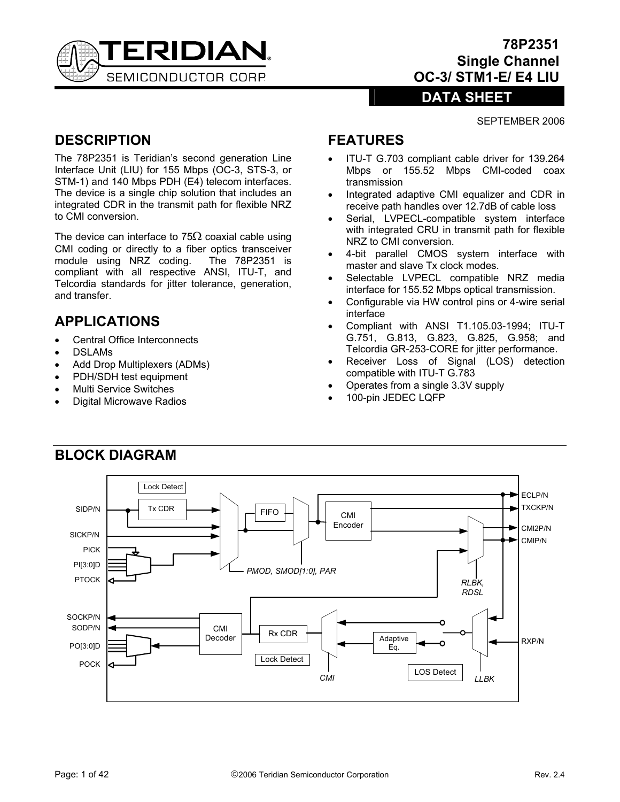

# **78P2351 Single Channel OC-3/ STM1-E/ E4 LIU**

# **DATA SHEET**

#### SEPTEMBER 2006

# **DESCRIPTION**

The 78P2351 is Teridian's second generation Line Interface Unit (LIU) for 155 Mbps (OC-3, STS-3, or STM-1) and 140 Mbps PDH (E4) telecom interfaces. The device is a single chip solution that includes an integrated CDR in the transmit path for flexible NRZ to CMI conversion.

The device can interface to 75 $\Omega$  coaxial cable using CMI coding or directly to a fiber optics transceiver module using NRZ coding. The 78P2351 is compliant with all respective ANSI, ITU-T, and Telcordia standards for jitter tolerance, generation, and transfer.

# **APPLICATIONS**

- Central Office Interconnects
- DSLAMs
- Add Drop Multiplexers (ADMs)
- PDH/SDH test equipment
- Multi Service Switches
- Digital Microwave Radios

# **FEATURES**

- ITU-T G.703 compliant cable driver for 139.264 Mbps or 155.52 Mbps CMI-coded coax transmission
- Integrated adaptive CMI equalizer and CDR in receive path handles over 12.7dB of cable loss
- Serial, LVPECL-compatible system interface with integrated CRU in transmit path for flexible NRZ to CMI conversion.
- 4-bit parallel CMOS system interface with master and slave Tx clock modes.
- Selectable LVPECL compatible NRZ media interface for 155.52 Mbps optical transmission.
- Configurable via HW control pins or 4-wire serial interface
- Compliant with ANSI T1.105.03-1994; ITU-T G.751, G.813, G.823, G.825, G.958; and Telcordia GR-253-CORE for jitter performance.
- Receiver Loss of Signal (LOS) detection compatible with ITU-T G.783
- Operates from a single 3.3V supply
- 100-pin JEDEC LQFP

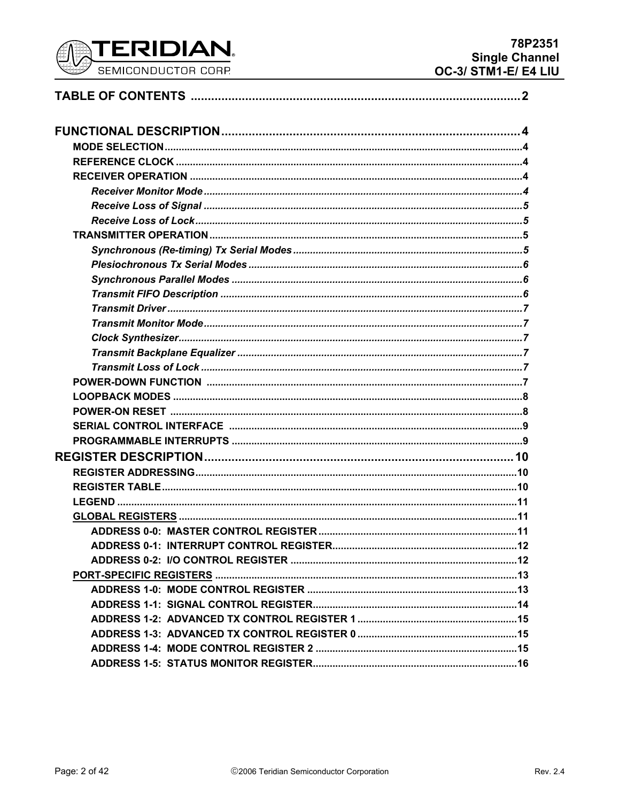

| .13 |
|-----|
|     |
|     |
|     |
|     |
|     |
|     |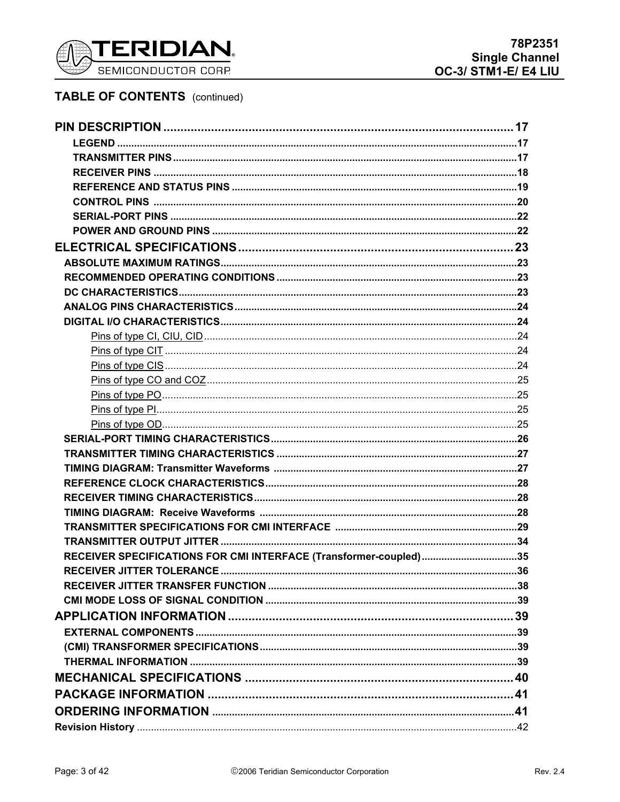

# **TABLE OF CONTENTS** (continued)

| RECEIVER SPECIFICATIONS FOR CMI INTERFACE (Transformer-coupled)35 |  |
|-------------------------------------------------------------------|--|
|                                                                   |  |
|                                                                   |  |
|                                                                   |  |
|                                                                   |  |
|                                                                   |  |
|                                                                   |  |
|                                                                   |  |
|                                                                   |  |
|                                                                   |  |
|                                                                   |  |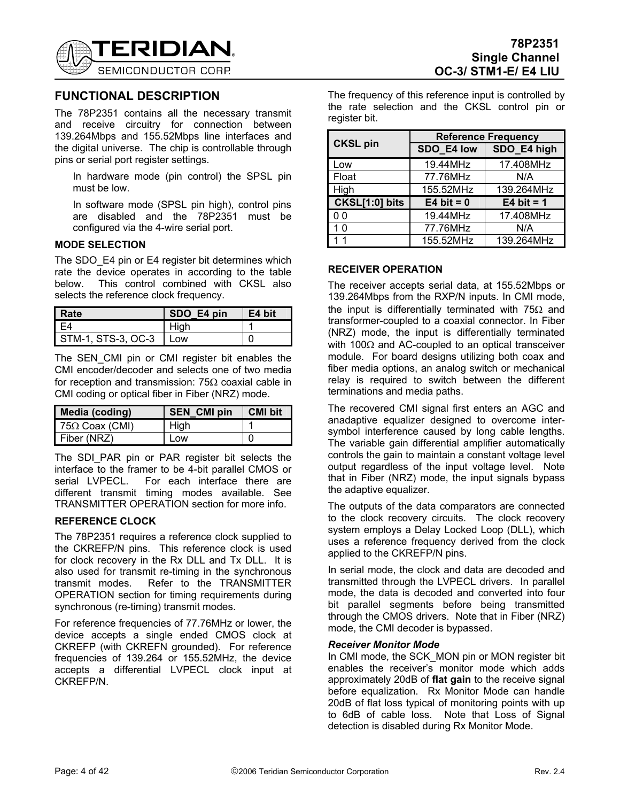

# **FUNCTIONAL DESCRIPTION**

The 78P2351 contains all the necessary transmit and receive circuitry for connection between 139.264Mbps and 155.52Mbps line interfaces and the digital universe. The chip is controllable through pins or serial port register settings.

In hardware mode (pin control) the SPSL pin must be low.

In software mode (SPSL pin high), control pins are disabled and the 78P2351 must be configured via the 4-wire serial port.

#### **MODE SELECTION**

The SDO E4 pin or E4 register bit determines which rate the device operates in according to the table below. This control combined with CKSL also selects the reference clock frequency.

| I Rate             | SDO E4 pin      | E4 bit |
|--------------------|-----------------|--------|
| I F4               | Hiah            |        |
| STM-1, STS-3, OC-3 | L <sub>OW</sub> |        |

The SEN CMI pin or CMI register bit enables the CMI encoder/decoder and selects one of two media for reception and transmission: 75Ω coaxial cable in CMI coding or optical fiber in Fiber (NRZ) mode.

| Media (coding)         | <b>SEN CMI pin</b> | <b>CMI bit</b> |
|------------------------|--------------------|----------------|
| 75 $\Omega$ Coax (CMI) | Hiah               |                |
| I Fiber (NRZ)          | Low                |                |

The SDI PAR pin or PAR register bit selects the interface to the framer to be 4-bit parallel CMOS or serial LVPECL. For each interface there are different transmit timing modes available. See TRANSMITTER OPERATION section for more info.

#### **REFERENCE CLOCK**

The 78P2351 requires a reference clock supplied to the CKREFP/N pins. This reference clock is used for clock recovery in the Rx DLL and Tx DLL. It is also used for transmit re-timing in the synchronous transmit modes. Refer to the TRANSMITTER OPERATION section for timing requirements during synchronous (re-timing) transmit modes.

For reference frequencies of 77.76MHz or lower, the device accepts a single ended CMOS clock at CKREFP (with CKREFN grounded). For reference frequencies of 139.264 or 155.52MHz, the device accepts a differential LVPECL clock input at CKREFP/N.

The frequency of this reference input is controlled by the rate selection and the CKSL control pin or register bit.

|                 | <b>Reference Frequency</b> |              |  |  |  |
|-----------------|----------------------------|--------------|--|--|--|
| <b>CKSL pin</b> | SDO E4 low                 | SDO_E4 high  |  |  |  |
| Low             | 19.44MHz                   | 17.408MHz    |  |  |  |
| Float           | 77.76MHz                   | N/A          |  |  |  |
| High            | 155.52MHz                  | 139.264MHz   |  |  |  |
| CKSL[1:0] bits  | $E4$ bit = 0               | E4 bit = $1$ |  |  |  |
| 0 0             | 19.44MHz                   | 17.408MHz    |  |  |  |
| 10              | 77.76MHz                   | N/A          |  |  |  |
| 11              | 155.52MHz                  | 139.264MHz   |  |  |  |

### **RECEIVER OPERATION**

The receiver accepts serial data, at 155.52Mbps or 139.264Mbps from the RXP/N inputs. In CMI mode, the input is differentially terminated with  $75\Omega$  and transformer-coupled to a coaxial connector. In Fiber (NRZ) mode, the input is differentially terminated with 100 $\Omega$  and AC-coupled to an optical transceiver module. For board designs utilizing both coax and fiber media options, an analog switch or mechanical relay is required to switch between the different terminations and media paths.

The recovered CMI signal first enters an AGC and anadaptive equalizer designed to overcome intersymbol interference caused by long cable lengths. The variable gain differential amplifier automatically controls the gain to maintain a constant voltage level output regardless of the input voltage level. Note that in Fiber (NRZ) mode, the input signals bypass the adaptive equalizer.

The outputs of the data comparators are connected to the clock recovery circuits. The clock recovery system employs a Delay Locked Loop (DLL), which uses a reference frequency derived from the clock applied to the CKREFP/N pins.

In serial mode, the clock and data are decoded and transmitted through the LVPECL drivers. In parallel mode, the data is decoded and converted into four bit parallel segments before being transmitted through the CMOS drivers. Note that in Fiber (NRZ) mode, the CMI decoder is bypassed.

#### *Receiver Monitor Mode*

In CMI mode, the SCK MON pin or MON register bit enables the receiver's monitor mode which adds approximately 20dB of **flat gain** to the receive signal before equalization. Rx Monitor Mode can handle 20dB of flat loss typical of monitoring points with up to 6dB of cable loss. Note that Loss of Signal detection is disabled during Rx Monitor Mode.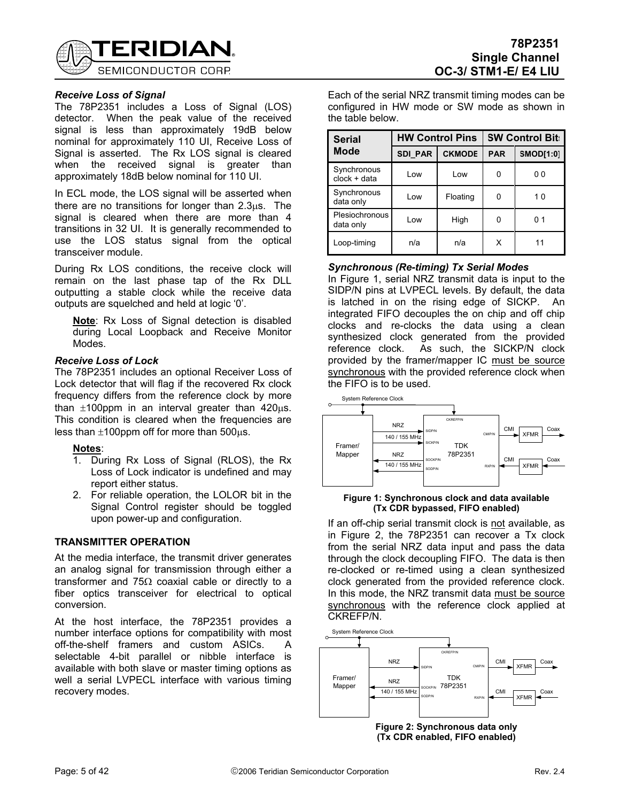

# **78P2351 Single Channel OC-3/ STM1-E/ E4 LIU**

### *Receive Loss of Signal*

The 78P2351 includes a Loss of Signal (LOS) detector. When the peak value of the received signal is less than approximately 19dB below nominal for approximately 110 UI, Receive Loss of Signal is asserted. The Rx LOS signal is cleared when the received signal is greater than approximately 18dB below nominal for 110 UI.

In ECL mode, the LOS signal will be asserted when there are no transitions for longer than 2.3µs. The signal is cleared when there are more than 4 transitions in 32 UI. It is generally recommended to use the LOS status signal from the optical transceiver module.

During Rx LOS conditions, the receive clock will remain on the last phase tap of the Rx DLL outputting a stable clock while the receive data outputs are squelched and held at logic '0'.

**Note**: Rx Loss of Signal detection is disabled during Local Loopback and Receive Monitor Modes.

#### *Receive Loss of Lock*

The 78P2351 includes an optional Receiver Loss of Lock detector that will flag if the recovered Rx clock frequency differs from the reference clock by more than  $\pm 100$ ppm in an interval greater than  $420\mu s$ . This condition is cleared when the frequencies are less than  $\pm 100$ ppm off for more than 500 $\mu$ s.

#### **Notes**:

- 1. During Rx Loss of Signal (RLOS), the Rx Loss of Lock indicator is undefined and may report either status.
- 2. For reliable operation, the LOLOR bit in the Signal Control register should be toggled upon power-up and configuration.

### **TRANSMITTER OPERATION**

At the media interface, the transmit driver generates an analog signal for transmission through either a transformer and 75 $\Omega$  coaxial cable or directly to a fiber optics transceiver for electrical to optical conversion.

At the host interface, the 78P2351 provides a number interface options for compatibility with most off-the-shelf framers and custom ASICs. A selectable 4-bit parallel or nibble interface is available with both slave or master timing options as well a serial LVPECL interface with various timing recovery modes.

Each of the serial NRZ transmit timing modes can be configured in HW mode or SW mode as shown in the table below.

| <b>Serial</b>                 |                                 | <b>HW Control Pins</b> | <b>SW Control Bit:</b> |                  |  |
|-------------------------------|---------------------------------|------------------------|------------------------|------------------|--|
| <b>Mode</b>                   | <b>SDI PAR</b><br><b>CKMODE</b> |                        | <b>PAR</b>             | <b>SMOD[1:0]</b> |  |
| Synchronous<br>$clock + data$ | Low                             | Low                    |                        | 00               |  |
| Synchronous<br>data only      | Low                             | Floating               |                        | 10               |  |
| Plesiochronous<br>data only   | High<br>Low                     |                        |                        | 0 <sub>1</sub>   |  |
| Loop-timing                   | n/a                             | n/a                    | x                      | 11               |  |

#### *Synchronous (Re-timing) Tx Serial Modes*

In Figure 1, serial NRZ transmit data is input to the SIDP/N pins at LVPECL levels. By default, the data is latched in on the rising edge of SICKP. An integrated FIFO decouples the on chip and off chip clocks and re-clocks the data using a clean synthesized clock generated from the provided reference clock. As such, the SICKP/N clock provided by the framer/mapper IC must be source synchronous with the provided reference clock when the FIFO is to be used.



#### **Figure 1: Synchronous clock and data available (Tx CDR bypassed, FIFO enabled)**

If an off-chip serial transmit clock is not available, as in Figure 2, the 78P2351 can recover a Tx clock from the serial NRZ data input and pass the data through the clock decoupling FIFO. The data is then re-clocked or re-timed using a clean synthesized clock generated from the provided reference clock. In this mode, the NRZ transmit data must be source synchronous with the reference clock applied at CKREFP/N.



**Figure 2: Synchronous data only (Tx CDR enabled, FIFO enabled)**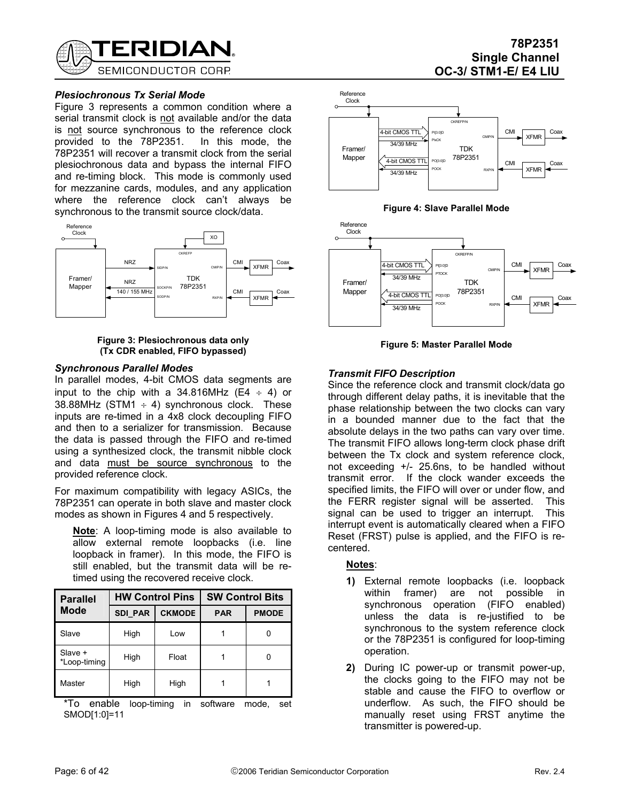

#### *Plesiochronous Tx Serial Mode*

Figure 3 represents a common condition where a serial transmit clock is not available and/or the data is not source synchronous to the reference clock provided to the 78P2351. In this mode, the 78P2351 will recover a transmit clock from the serial plesiochronous data and bypass the internal FIFO and re-timing block. This mode is commonly used for mezzanine cards, modules, and any application where the reference clock can't always be synchronous to the transmit source clock/data.



#### **Figure 3: Plesiochronous data only (Tx CDR enabled, FIFO bypassed)**

#### *Synchronous Parallel Modes*

In parallel modes, 4-bit CMOS data segments are input to the chip with a 34.816MHz (E4  $\div$  4) or 38.88MHz (STM1  $\div$  4) synchronous clock. These inputs are re-timed in a 4x8 clock decoupling FIFO and then to a serializer for transmission. Because the data is passed through the FIFO and re-timed using a synthesized clock, the transmit nibble clock and data must be source synchronous to the provided reference clock.

For maximum compatibility with legacy ASICs, the 78P2351 can operate in both slave and master clock modes as shown in Figures 4 and 5 respectively.

**Note**: A loop-timing mode is also available to allow external remote loopbacks (i.e. line loopback in framer). In this mode, the FIFO is still enabled, but the transmit data will be retimed using the recovered receive clock.

| <b>Parallel</b>         | <b>HW Control Pins</b>          |       | <b>SW Control Bits</b> |              |  |
|-------------------------|---------------------------------|-------|------------------------|--------------|--|
| <b>Mode</b>             | <b>SDI PAR</b><br><b>CKMODE</b> |       | <b>PAR</b>             | <b>PMODE</b> |  |
| Slave                   | High                            | Low   |                        |              |  |
| Slave +<br>*Loop-timing | High                            | Float |                        |              |  |
| Master                  | High                            | High  |                        |              |  |

\*To enable loop-timing in software mode, set SMOD[1:0]=11







**Figure 5: Master Parallel Mode**

### *Transmit FIFO Description*

Since the reference clock and transmit clock/data go through different delay paths, it is inevitable that the phase relationship between the two clocks can vary in a bounded manner due to the fact that the absolute delays in the two paths can vary over time. The transmit FIFO allows long-term clock phase drift between the Tx clock and system reference clock, not exceeding +/- 25.6ns, to be handled without transmit error. If the clock wander exceeds the specified limits, the FIFO will over or under flow, and the FERR register signal will be asserted. This signal can be used to trigger an interrupt. This interrupt event is automatically cleared when a FIFO Reset (FRST) pulse is applied, and the FIFO is recentered.

#### **Notes**:

- **1)** External remote loopbacks (i.e. loopback within framer) are not possible in synchronous operation (FIFO enabled) unless the data is re-justified to be synchronous to the system reference clock or the 78P2351 is configured for loop-timing operation.
- **2)** During IC power-up or transmit power-up, the clocks going to the FIFO may not be stable and cause the FIFO to overflow or underflow. As such, the FIFO should be manually reset using FRST anytime the transmitter is powered-up.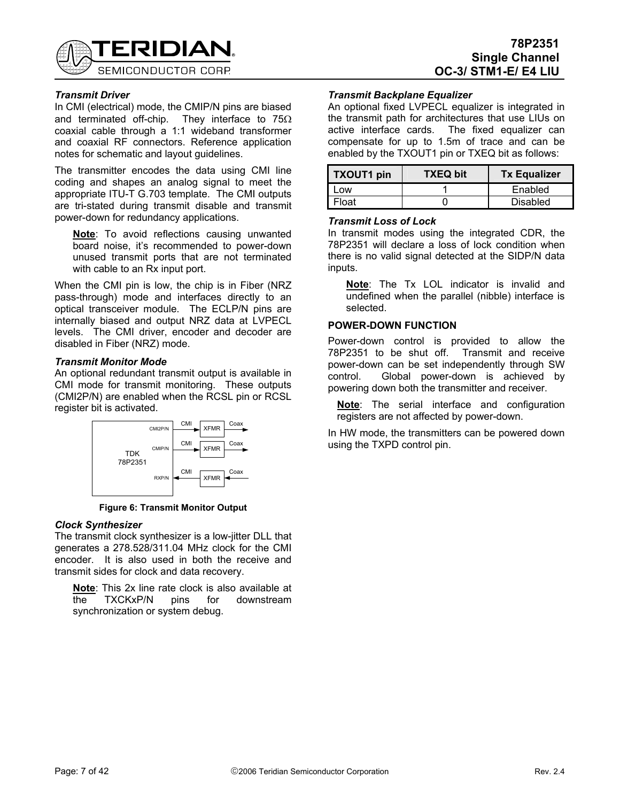

### **78P2351 Single Channel OC-3/ STM1-E/ E4 LIU**

### *Transmit Driver*

In CMI (electrical) mode, the CMIP/N pins are biased and terminated off-chip. They interface to 75Ω coaxial cable through a 1:1 wideband transformer and coaxial RF connectors. Reference application notes for schematic and layout guidelines.

The transmitter encodes the data using CMI line coding and shapes an analog signal to meet the appropriate ITU-T G.703 template. The CMI outputs are tri-stated during transmit disable and transmit power-down for redundancy applications.

**Note**: To avoid reflections causing unwanted board noise, it's recommended to power-down unused transmit ports that are not terminated with cable to an R<sub>x</sub> input port.

When the CMI pin is low, the chip is in Fiber (NRZ pass-through) mode and interfaces directly to an optical transceiver module. The ECLP/N pins are internally biased and output NRZ data at LVPECL levels. The CMI driver, encoder and decoder are disabled in Fiber (NRZ) mode.

#### *Transmit Monitor Mode*

An optional redundant transmit output is available in CMI mode for transmit monitoring. These outputs (CMI2P/N) are enabled when the RCSL pin or RCSL register bit is activated.



**Figure 6: Transmit Monitor Output** 

#### *Clock Synthesizer*

The transmit clock synthesizer is a low-jitter DLL that generates a 278.528/311.04 MHz clock for the CMI encoder. It is also used in both the receive and transmit sides for clock and data recovery.

**Note**: This 2x line rate clock is also available at the TXCKxP/N pins for downstream synchronization or system debug.

### *Transmit Backplane Equalizer*

An optional fixed LVPECL equalizer is integrated in the transmit path for architectures that use LIUs on active interface cards. The fixed equalizer can compensate for up to 1.5m of trace and can be enabled by the TXOUT1 pin or TXEQ bit as follows:

| TXOUT1 pin | <b>TXEQ bit</b> | <b>Tx Equalizer</b> |
|------------|-----------------|---------------------|
| ∣ow        |                 | Enabled             |
| Float:     |                 | Disabled            |

#### *Transmit Loss of Lock*

In transmit modes using the integrated CDR, the 78P2351 will declare a loss of lock condition when there is no valid signal detected at the SIDP/N data inputs.

**Note**: The Tx LOL indicator is invalid and undefined when the parallel (nibble) interface is selected.

#### **POWER-DOWN FUNCTION**

Power-down control is provided to allow the 78P2351 to be shut off. Transmit and receive power-down can be set independently through SW control. Global power-down is achieved by powering down both the transmitter and receiver.

**Note**: The serial interface and configuration registers are not affected by power-down.

In HW mode, the transmitters can be powered down using the TXPD control pin.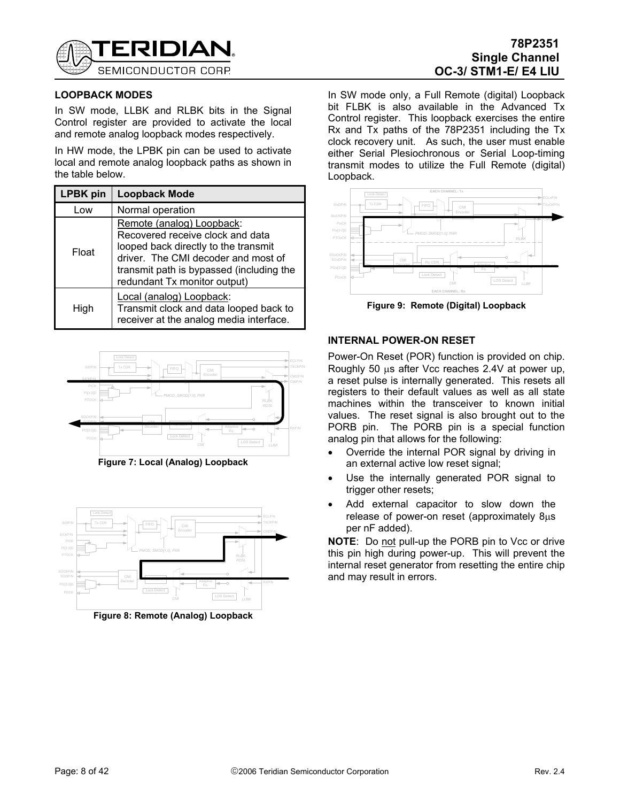

# **78P2351 Single Channel OC-3/ STM1-E/ E4 LIU**

### **LOOPBACK MODES**

In SW mode, LLBK and RLBK bits in the Signal Control register are provided to activate the local and remote analog loopback modes respectively.

In HW mode, the LPBK pin can be used to activate local and remote analog loopback paths as shown in the table below.

| <b>LPBK</b> pin | <b>Loopback Mode</b>                                                                                                                                                                                                     |
|-----------------|--------------------------------------------------------------------------------------------------------------------------------------------------------------------------------------------------------------------------|
| Low             | Normal operation                                                                                                                                                                                                         |
| Float           | Remote (analog) Loopback:<br>Recovered receive clock and data<br>looped back directly to the transmit<br>driver. The CMI decoder and most of<br>transmit path is bypassed (including the<br>redundant Tx monitor output) |
| High            | Local (analog) Loopback:<br>Transmit clock and data looped back to<br>receiver at the analog media interface.                                                                                                            |



**Figure 7: Local (Analog) Loopback** 



**Figure 8: Remote (Analog) Loopback** 

In SW mode only, a Full Remote (digital) Loopback bit FLBK is also available in the Advanced Tx Control register. This loopback exercises the entire Rx and Tx paths of the 78P2351 including the Tx clock recovery unit. As such, the user must enable either Serial Plesiochronous or Serial Loop-timing transmit modes to utilize the Full Remote (digital) Loopback.



**Figure 9: Remote (Digital) Loopback** 

### **INTERNAL POWER-ON RESET**

Power-On Reset (POR) function is provided on chip. Roughly 50 µs after Vcc reaches 2.4V at power up, a reset pulse is internally generated. This resets all registers to their default values as well as all state machines within the transceiver to known initial values. The reset signal is also brought out to the PORB pin. The PORB pin is a special function analog pin that allows for the following:

- Override the internal POR signal by driving in an external active low reset signal;
- Use the internally generated POR signal to trigger other resets;
- Add external capacitor to slow down the release of power-on reset (approximately 8µs per nF added).

**NOTE:** Do not pull-up the PORB pin to Vcc or drive this pin high during power-up. This will prevent the internal reset generator from resetting the entire chip and may result in errors.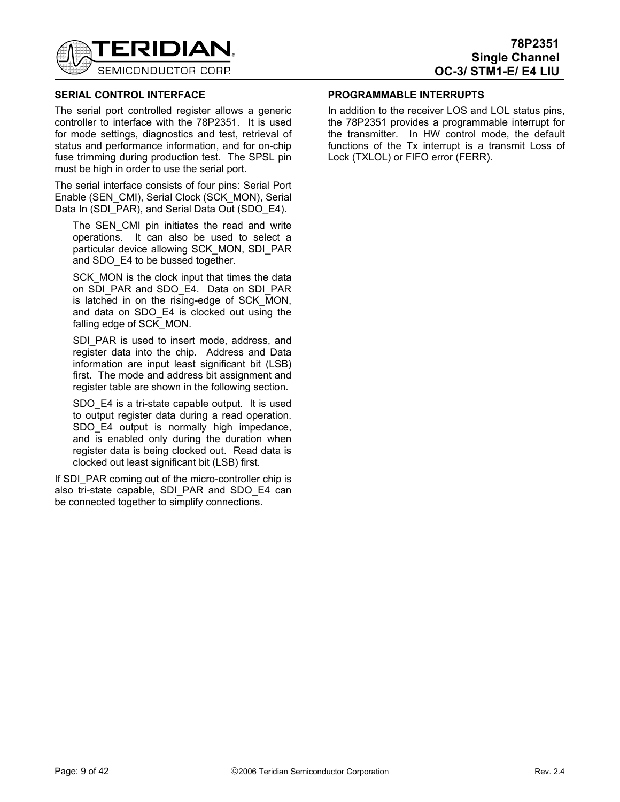

### **SERIAL CONTROL INTERFACE**

The serial port controlled register allows a generic controller to interface with the 78P2351. It is used for mode settings, diagnostics and test, retrieval of status and performance information, and for on-chip fuse trimming during production test. The SPSL pin must be high in order to use the serial port.

The serial interface consists of four pins: Serial Port Enable (SEN\_CMI), Serial Clock (SCK\_MON), Serial Data In (SDI\_PAR), and Serial Data Out (SDO\_E4).

The SEN CMI pin initiates the read and write operations. It can also be used to select a particular device allowing SCK\_MON, SDI\_PAR and SDO\_E4 to be bussed together.

SCK MON is the clock input that times the data on SDI\_PAR and SDO\_E4. Data on SDI\_PAR is latched in on the rising-edge of SCK\_MON, and data on SDO\_E4 is clocked out using the falling edge of SCK MON.

SDI\_PAR is used to insert mode, address, and register data into the chip. Address and Data information are input least significant bit (LSB) first. The mode and address bit assignment and register table are shown in the following section.

SDO E4 is a tri-state capable output. It is used to output register data during a read operation. SDO E4 output is normally high impedance, and is enabled only during the duration when register data is being clocked out. Read data is clocked out least significant bit (LSB) first.

If SDI\_PAR coming out of the micro-controller chip is also tri-state capable, SDI PAR and SDO E4 can be connected together to simplify connections.

### **PROGRAMMABLE INTERRUPTS**

In addition to the receiver LOS and LOL status pins, the 78P2351 provides a programmable interrupt for the transmitter. In HW control mode, the default functions of the Tx interrupt is a transmit Loss of Lock (TXLOL) or FIFO error (FERR).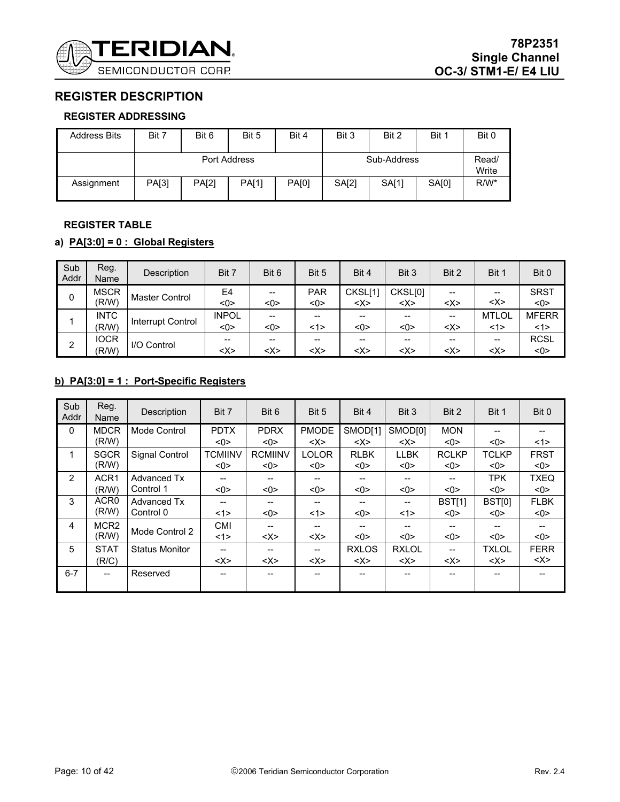

# **REGISTER DESCRIPTION**

### **REGISTER ADDRESSING**

| <b>Address Bits</b> | Bit 7        | Bit 6        | Bit 5 | Bit 4 | Bit 3       | Bit 2 | Bit 1 | Bit 0          |
|---------------------|--------------|--------------|-------|-------|-------------|-------|-------|----------------|
|                     | Port Address |              |       |       | Sub-Address |       |       | Read/<br>Write |
| Assignment          | PA[3]        | <b>PA[2]</b> | PA[1] | PA[0] | SA[2]       | SA[1] | SA[0] | $R/W^*$        |

### **REGISTER TABLE**

# **a) PA[3:0] = 0 : Global Registers**

| Sub<br>Addr | Reg.<br>Name         | Description       | Bit 7               | Bit 6                                              | Bit 5             | Bit 4                         | Bit 3              | Bit 2         | Bit 1             | Bit 0                    |
|-------------|----------------------|-------------------|---------------------|----------------------------------------------------|-------------------|-------------------------------|--------------------|---------------|-------------------|--------------------------|
| 0           | <b>MSCR</b><br>(R/W) | Master Control    | E4<br><0>           | $\hspace{0.05cm}$ – $\hspace{0.05cm}$<br>$<$ 0 $>$ | <b>PAR</b><br><0> | CKSL[1]<br>$<\!\!\times\!\!>$ | CKSL[0]<br><x></x> | --<br><x></x> | --<br><x></x>     | <b>SRST</b><br><0>       |
|             | <b>INTC</b><br>(R/W) | Interrupt Control | <b>INPOL</b><br><0> | $- -$<br><0>                                       | --<br><1>         | <0>                           | --<br>$<$ 0 $>$    | <x></x>       | <b>MTLOL</b><br>1 | <b>MFERR</b><br><1>      |
| 2           | <b>IOCR</b><br>(R/W) | I/O Control       | --<br><x></x>       | <x></x>                                            | --<br><x></x>     | <x></x>                       | --<br><x></x>      | <x></x>       | --<br><x></x>     | <b>RCSL</b><br>$<$ 0 $>$ |

# **b) PA[3:0] = 1 : Port-Specific Registers**

| Sub<br>Addr | Reg.<br>Name             | Description           | Bit 7              | Bit 6              | Bit 5               | Bit 4              | Bit 3              | Bit 2              | Bit 1              | Bit 0              |
|-------------|--------------------------|-----------------------|--------------------|--------------------|---------------------|--------------------|--------------------|--------------------|--------------------|--------------------|
| $\Omega$    | <b>MDCR</b>              | Mode Control          | <b>PDTX</b>        | <b>PDRX</b>        | <b>PMODE</b>        | SMOD[1]            | SMOD[0]            | <b>MON</b>         |                    |                    |
|             | (R/W)                    |                       | <0>                | <0>                | $\langle X \rangle$ | $<\!\!\times\!\!>$ | $<\!\!\times\!\!>$ | <0>                | < 0                | <1>                |
| 1           | <b>SGCR</b>              | Signal Control        | <b>TCMIINV</b>     | <b>RCMIINV</b>     | <b>LOLOR</b>        | <b>RLBK</b>        | <b>LLBK</b>        | <b>RCLKP</b>       | <b>TCLKP</b>       | <b>FRST</b>        |
|             | (R/W)                    |                       | <0>                | <0>                | <0>                 | <0>                | <0>                | <0>                | <0>                | <0>                |
| 2           | ACR <sub>1</sub>         | <b>Advanced Tx</b>    | --                 | --                 | --                  |                    | --                 | $- -$              | <b>TPK</b>         | <b>TXEQ</b>        |
|             | (R/W)                    | Control 1             | <0>                | <0>                | <0>                 | <0>                | <0>                | <0>                | <0>                | <0>                |
| 3           | ACR <sub>0</sub>         | Advanced Tx           | --                 | --                 | --                  |                    | --                 | BST[1]             | BST[0]             | <b>FLBK</b>        |
|             | (R/W)                    | Control 0             | <1>                | <0>                | <1>                 | <0>                | <1>                | <0>                | <0>                | <0>                |
| 4           | MCR <sub>2</sub>         | Mode Control 2        | <b>CMI</b>         | --                 | --                  |                    |                    |                    |                    |                    |
|             | (R/W)                    |                       | <1>                | $<\!\!\times\!\!>$ | $<\!\!\times\!\!>$  | <0>                | <0>                | <0>                | <0>                | <0>                |
| 5           | <b>STAT</b>              | <b>Status Monitor</b> | --                 | --                 | --                  | <b>RXLOS</b>       | <b>RXLOL</b>       | $- -$              | <b>TXLOL</b>       | <b>FERR</b>        |
|             | (R/C)                    |                       | $<\!\!\times\!\!>$ | $<\!\!\times\!\!>$ | $<\!\!\times\!\!>$  | $<\!\!\times\!\!>$ | $<\!\!\times\!\!>$ | $<\!\!\times\!\!>$ | $<\!\!\times\!\!>$ | $<\!\!\times\!\!>$ |
| $6 - 7$     | $\overline{\phantom{a}}$ | Reserved              | --                 | --                 | --                  |                    | --                 |                    |                    |                    |
|             |                          |                       |                    |                    |                     |                    |                    |                    |                    |                    |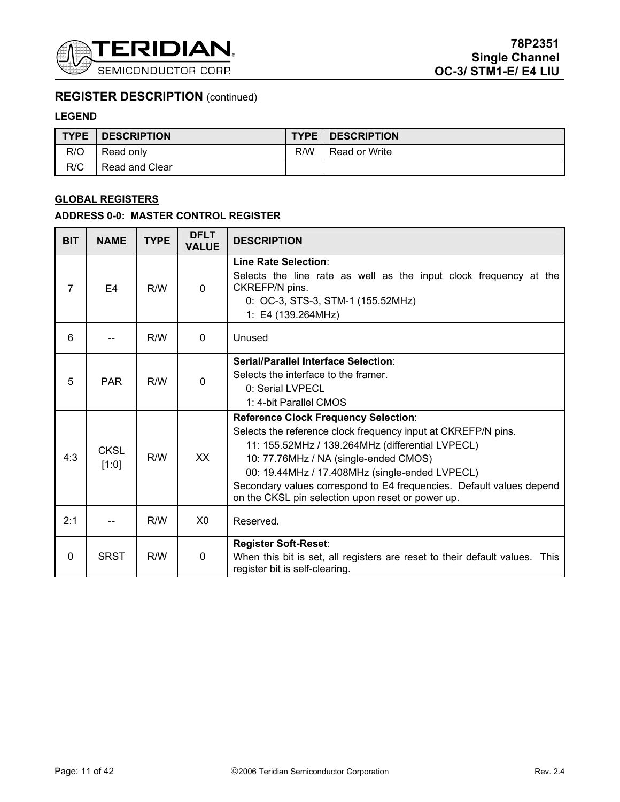

### **LEGEND**

| <b>TYPE</b> | <b>DESCRIPTION</b> |     | <b>TYPE   DESCRIPTION</b> |
|-------------|--------------------|-----|---------------------------|
| R/O         | Read only          | R/W | Read or Write             |
| R/C         | Read and Clear     |     |                           |

### **GLOBAL REGISTERS**

# **ADDRESS 0-0: MASTER CONTROL REGISTER**

| <b>BIT</b>     | <b>NAME</b>          | <b>TYPE</b> | <b>DFLT</b><br><b>VALUE</b> | <b>DESCRIPTION</b>                                                                                                                                                                                                                                                                                                                                                                       |  |
|----------------|----------------------|-------------|-----------------------------|------------------------------------------------------------------------------------------------------------------------------------------------------------------------------------------------------------------------------------------------------------------------------------------------------------------------------------------------------------------------------------------|--|
| $\overline{7}$ | E <sub>4</sub>       | R/W         | $\Omega$                    | Line Rate Selection:<br>Selects the line rate as well as the input clock frequency at the<br>CKREFP/N pins.<br>0: OC-3, STS-3, STM-1 (155.52MHz)<br>1: E4 (139.264MHz)                                                                                                                                                                                                                   |  |
| 6              |                      | R/W         | $\Omega$                    | Unused                                                                                                                                                                                                                                                                                                                                                                                   |  |
| 5              | <b>PAR</b>           | R/W         | $\Omega$                    | Serial/Parallel Interface Selection:<br>Selects the interface to the framer.<br>0: Serial LVPECL<br>1: 4-bit Parallel CMOS                                                                                                                                                                                                                                                               |  |
| 4:3            | <b>CKSL</b><br>[1:0] | R/W         | XX                          | <b>Reference Clock Frequency Selection:</b><br>Selects the reference clock frequency input at CKREFP/N pins.<br>11: 155.52MHz / 139.264MHz (differential LVPECL)<br>10: 77.76MHz / NA (single-ended CMOS)<br>00: 19.44MHz / 17.408MHz (single-ended LVPECL)<br>Secondary values correspond to E4 frequencies. Default values depend<br>on the CKSL pin selection upon reset or power up. |  |
| 2:1            |                      | R/W         | X <sub>0</sub>              | Reserved.                                                                                                                                                                                                                                                                                                                                                                                |  |
| $\mathbf{0}$   | <b>SRST</b>          | R/W         | $\Omega$                    | <b>Register Soft-Reset:</b><br>When this bit is set, all registers are reset to their default values. This<br>register bit is self-clearing.                                                                                                                                                                                                                                             |  |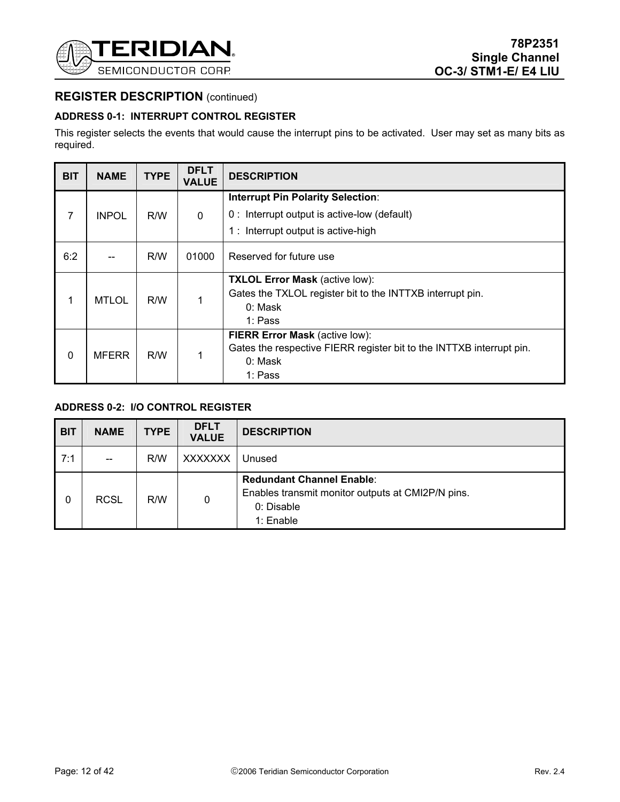

### **ADDRESS 0-1: INTERRUPT CONTROL REGISTER**

This register selects the events that would cause the interrupt pins to be activated. User may set as many bits as required.

| <b>BIT</b> | <b>NAME</b>  | <b>TYPE</b> | <b>DFLT</b><br><b>VALUE</b> | <b>DESCRIPTION</b>                                                   |  |
|------------|--------------|-------------|-----------------------------|----------------------------------------------------------------------|--|
|            |              |             |                             | <b>Interrupt Pin Polarity Selection:</b>                             |  |
| 7          | <b>INPOL</b> | R/W         | $\mathbf 0$                 | 0: Interrupt output is active-low (default)                          |  |
|            |              |             |                             | 1: Interrupt output is active-high                                   |  |
| 6:2        |              | R/W         | 01000                       | Reserved for future use                                              |  |
|            |              |             |                             | <b>TXLOL Error Mask (active low):</b>                                |  |
| 1          | <b>MTLOL</b> |             |                             | Gates the TXLOL register bit to the INTTXB interrupt pin.            |  |
|            |              |             |                             | 0: Mask<br>1: Pass                                                   |  |
|            |              |             |                             | FIERR Error Mask (active low):                                       |  |
|            |              |             |                             | Gates the respective FIERR register bit to the INTTXB interrupt pin. |  |
| $\Omega$   | <b>MFERR</b> | R/W         |                             | 0: Mask                                                              |  |
|            |              |             |                             | 1: Pass                                                              |  |

### **ADDRESS 0-2: I/O CONTROL REGISTER**

| <b>BIT</b> | <b>NAME</b> | <b>TYPE</b> | <b>DFLT</b><br><b>VALUE</b> | <b>DESCRIPTION</b>                                                                                               |
|------------|-------------|-------------|-----------------------------|------------------------------------------------------------------------------------------------------------------|
| 7:1        | --          | R/W         | <b>XXXXXXX</b>              | Unused                                                                                                           |
| 0          | <b>RCSL</b> | R/W         | 0                           | <b>Redundant Channel Enable:</b><br>Enables transmit monitor outputs at CMI2P/N pins.<br>0: Disable<br>1: Enable |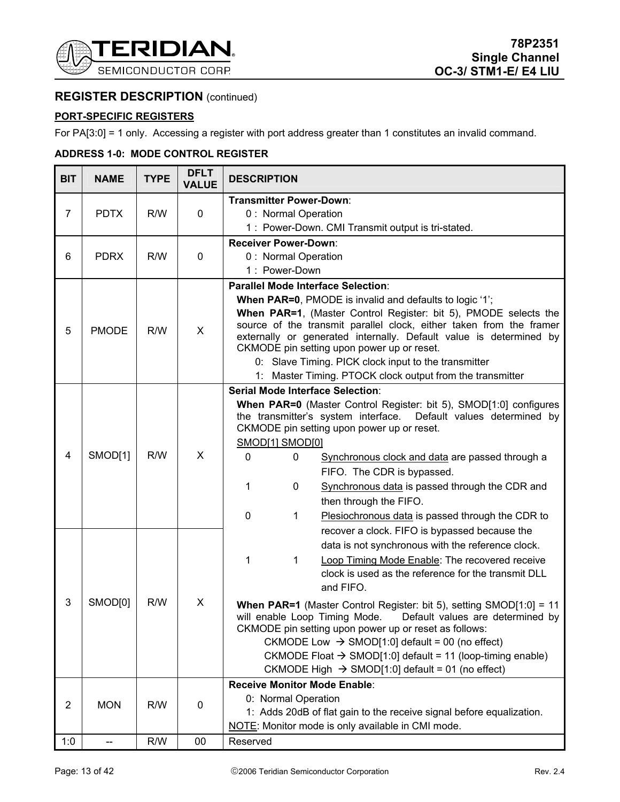

### **PORT-SPECIFIC REGISTERS**

For PA[3:0] = 1 only. Accessing a register with port address greater than 1 constitutes an invalid command.

#### BIT | NAME | TYPE | DFLT **DESCRIPTION**  $7$  PDTX R/W 0 **Transmitter Power-Down**: 0 : Normal Operation 1 : Power-Down. CMI Transmit output is tri-stated. 6 PDRX R/W 0 **Receiver Power-Down**: 0 : Normal Operation 1 : Power-Down 5 | PMODE | R/W | X **Parallel Mode Interface Selection**: **When PAR=0**, PMODE is invalid and defaults to logic '1'; **When PAR=1**, (Master Control Register: bit 5), PMODE selects the source of the transmit parallel clock, either taken from the framer externally or generated internally. Default value is determined by CKMODE pin setting upon power up or reset. 0: Slave Timing. PICK clock input to the transmitter 1: Master Timing. PTOCK clock output from the transmitter 4 | SMOD[1] | R/W | X  $3$  SMOD[0] R/W  $\mid$  X **Serial Mode Interface Selection**: **When PAR=0** (Master Control Register: bit 5), SMOD[1:0] configures the transmitter's system interface. Default values determined by CKMODE pin setting upon power up or reset. SMOD[1] SMOD[0] 0 0 Synchronous clock and data are passed through a FIFO. The CDR is bypassed. 1 0 Synchronous data is passed through the CDR and then through the FIFO. 0 1 Plesiochronous data is passed through the CDR to recover a clock. FIFO is bypassed because the data is not synchronous with the reference clock. 1 1 Loop Timing Mode Enable: The recovered receive clock is used as the reference for the transmit DLL and FIFO. **When PAR=1** (Master Control Register: bit 5), setting SMOD[1:0] = 11 will enable Loop Timing Mode. Default values are determined by CKMODE pin setting upon power up or reset as follows: CKMODE Low  $\rightarrow$  SMOD[1:0] default = 00 (no effect) CKMODE Float  $\rightarrow$  SMOD[1:0] default = 11 (loop-timing enable) CKMODE High  $\rightarrow$  SMOD[1:0] default = 01 (no effect)  $2$  MON R/W 0 **Receive Monitor Mode Enable**: 0: Normal Operation 1: Adds 20dB of flat gain to the receive signal before equalization. NOTE: Monitor mode is only available in CMI mode. 1:0 -- R/W 00 Reserved

#### **ADDRESS 1-0: MODE CONTROL REGISTER**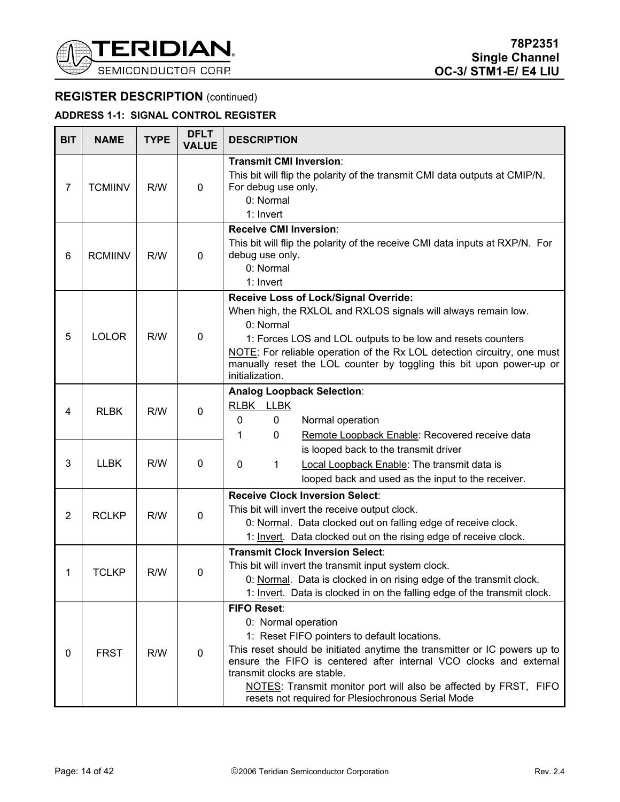

# **ADDRESS 1-1: SIGNAL CONTROL REGISTER**

| <b>BIT</b>     | <b>NAME</b>    | <b>TYPE</b> | <b>DFLT</b><br><b>VALUE</b> | <b>DESCRIPTION</b>                                                                                                                                                                                                                                                                                                                                                                                    |  |  |
|----------------|----------------|-------------|-----------------------------|-------------------------------------------------------------------------------------------------------------------------------------------------------------------------------------------------------------------------------------------------------------------------------------------------------------------------------------------------------------------------------------------------------|--|--|
| $\overline{7}$ | <b>TCMIINV</b> | R/W         | $\mathbf 0$                 | <b>Transmit CMI Inversion:</b><br>This bit will flip the polarity of the transmit CMI data outputs at CMIP/N.<br>For debug use only.<br>0: Normal<br>1: Invert                                                                                                                                                                                                                                        |  |  |
| 6              | <b>RCMIINV</b> | R/W         | $\mathbf 0$                 | <b>Receive CMI Inversion:</b><br>This bit will flip the polarity of the receive CMI data inputs at RXP/N. For<br>debug use only.<br>0: Normal<br>1: Invert                                                                                                                                                                                                                                            |  |  |
| 5              | <b>LOLOR</b>   | R/W         | $\mathbf 0$                 | Receive Loss of Lock/Signal Override:<br>When high, the RXLOL and RXLOS signals will always remain low.<br>0: Normal<br>1: Forces LOS and LOL outputs to be low and resets counters<br>NOTE: For reliable operation of the Rx LOL detection circuitry, one must<br>manually reset the LOL counter by toggling this bit upon power-up or<br>initialization.                                            |  |  |
| 4              | <b>RLBK</b>    | R/W         | $\mathbf 0$                 | <b>Analog Loopback Selection:</b><br>RLBK LLBK<br>0<br>0<br>Normal operation<br>Remote Loopback Enable: Recovered receive data<br>1<br>0                                                                                                                                                                                                                                                              |  |  |
| 3              | <b>LLBK</b>    | R/W         | $\mathbf 0$                 | is looped back to the transmit driver<br>0<br>Local Loopback Enable: The transmit data is<br>1<br>looped back and used as the input to the receiver.                                                                                                                                                                                                                                                  |  |  |
| $\overline{2}$ | <b>RCLKP</b>   | R/W         | $\mathbf 0$                 | <b>Receive Clock Inversion Select:</b><br>This bit will invert the receive output clock.<br>0: Normal. Data clocked out on falling edge of receive clock.<br>1: Invert. Data clocked out on the rising edge of receive clock.                                                                                                                                                                         |  |  |
| 1              | <b>TCLKP</b>   | R/W         | $\mathbf 0$                 | <b>Transmit Clock Inversion Select:</b><br>This bit will invert the transmit input system clock.<br>0: Normal. Data is clocked in on rising edge of the transmit clock.<br>1: Invert. Data is clocked in on the falling edge of the transmit clock.                                                                                                                                                   |  |  |
| 0              | <b>FRST</b>    | R/W         | 0                           | <b>FIFO Reset:</b><br>0: Normal operation<br>1: Reset FIFO pointers to default locations.<br>This reset should be initiated anytime the transmitter or IC powers up to<br>ensure the FIFO is centered after internal VCO clocks and external<br>transmit clocks are stable.<br>NOTES: Transmit monitor port will also be affected by FRST, FIFO<br>resets not required for Plesiochronous Serial Mode |  |  |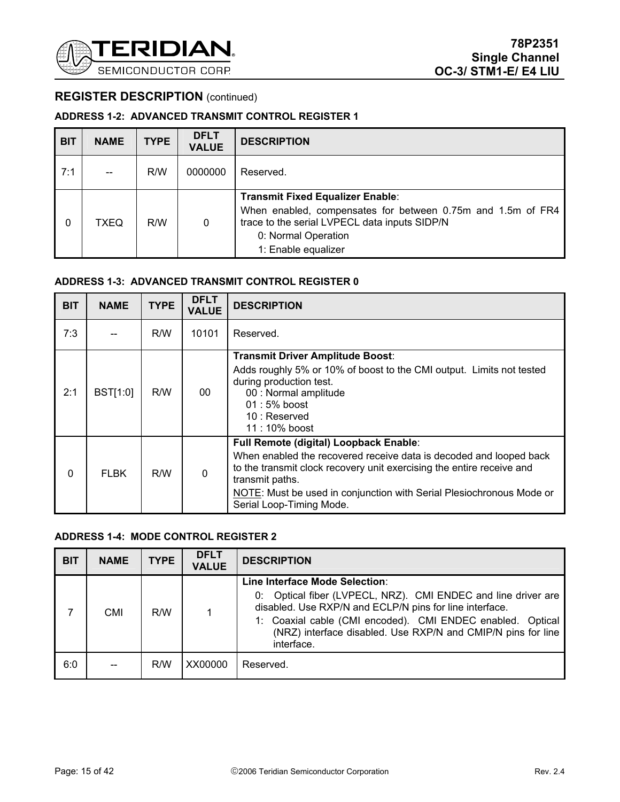

### **ADDRESS 1-2: ADVANCED TRANSMIT CONTROL REGISTER 1**

| <b>BIT</b> | <b>NAME</b> | <b>TYPE</b> | <b>DFLT</b><br><b>VALUE</b> | <b>DESCRIPTION</b>                                                                                                                                                                                    |
|------------|-------------|-------------|-----------------------------|-------------------------------------------------------------------------------------------------------------------------------------------------------------------------------------------------------|
| 7:1        |             | R/W         | 0000000                     | Reserved.                                                                                                                                                                                             |
| 0          | TXEQ        | R/W         | $\mathbf 0$                 | <b>Transmit Fixed Equalizer Enable:</b><br>When enabled, compensates for between 0.75m and 1.5m of FR4<br>trace to the serial LVPECL data inputs SIDP/N<br>0: Normal Operation<br>1: Enable equalizer |

### **ADDRESS 1-3: ADVANCED TRANSMIT CONTROL REGISTER 0**

| <b>BIT</b> | <b>NAME</b>     | <b>TYPE</b> | <b>DFLT</b><br><b>VALUE</b> | <b>DESCRIPTION</b>                                                                                                                                                                                                                                                                                           |  |
|------------|-----------------|-------------|-----------------------------|--------------------------------------------------------------------------------------------------------------------------------------------------------------------------------------------------------------------------------------------------------------------------------------------------------------|--|
| 7:3        |                 | R/W         | 10101                       | Reserved.                                                                                                                                                                                                                                                                                                    |  |
| 2:1        | <b>BST[1:0]</b> | R/W         | 00                          | <b>Transmit Driver Amplitude Boost:</b><br>Adds roughly 5% or 10% of boost to the CMI output. Limits not tested<br>during production test.<br>00 : Normal amplitude<br>$01:5%$ boost<br>10: Reserved<br>11 : 10% boost                                                                                       |  |
| $\Omega$   | <b>FLBK</b>     | R/W         | $\mathbf{0}$                | Full Remote (digital) Loopback Enable:<br>When enabled the recovered receive data is decoded and looped back<br>to the transmit clock recovery unit exercising the entire receive and<br>transmit paths.<br>NOTE: Must be used in conjunction with Serial Plesiochronous Mode or<br>Serial Loop-Timing Mode. |  |

### **ADDRESS 1-4: MODE CONTROL REGISTER 2**

| <b>BIT</b> | <b>NAME</b> | <b>TYPE</b> | <b>DFLT</b><br><b>VALUE</b> | <b>DESCRIPTION</b>                                                                                                                                                                                                                                                                                     |
|------------|-------------|-------------|-----------------------------|--------------------------------------------------------------------------------------------------------------------------------------------------------------------------------------------------------------------------------------------------------------------------------------------------------|
|            | <b>CMI</b>  | R/W         |                             | Line Interface Mode Selection:<br>0: Optical fiber (LVPECL, NRZ). CMI ENDEC and line driver are<br>disabled. Use RXP/N and ECLP/N pins for line interface.<br>1: Coaxial cable (CMI encoded). CMI ENDEC enabled. Optical<br>(NRZ) interface disabled. Use RXP/N and CMIP/N pins for line<br>interface. |
| 6:0        |             | R/W         | XX00000                     | Reserved.                                                                                                                                                                                                                                                                                              |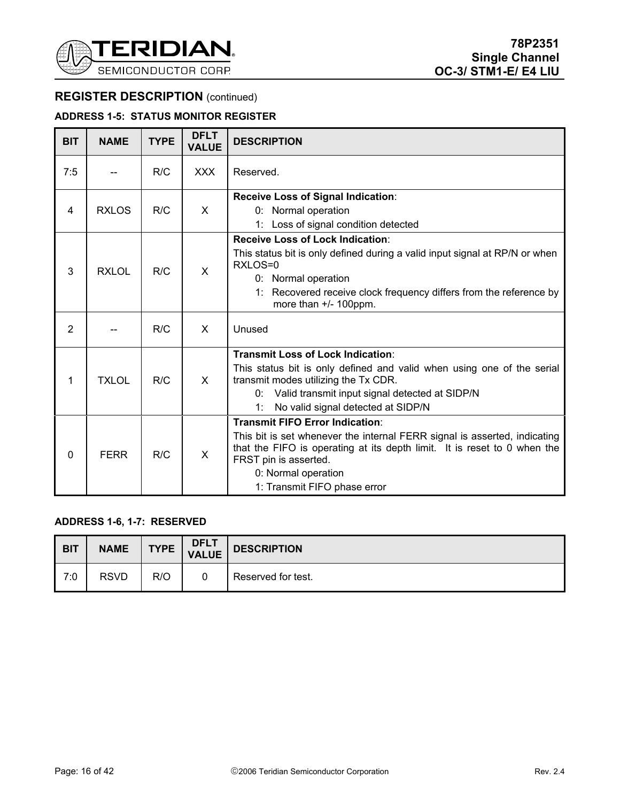

### **ADDRESS 1-5: STATUS MONITOR REGISTER**

| <b>BIT</b>     | <b>NAME</b>  | <b>TYPE</b> | <b>DFLT</b><br><b>VALUE</b> | <b>DESCRIPTION</b>                                                                                                                                                                                                                                                              |  |
|----------------|--------------|-------------|-----------------------------|---------------------------------------------------------------------------------------------------------------------------------------------------------------------------------------------------------------------------------------------------------------------------------|--|
| 7:5            |              | R/C         | <b>XXX</b>                  | Reserved.                                                                                                                                                                                                                                                                       |  |
| 4              | <b>RXLOS</b> | R/C         | X                           | Receive Loss of Signal Indication:<br>0: Normal operation<br>1: Loss of signal condition detected                                                                                                                                                                               |  |
| 3              | <b>RXLOL</b> | R/C         | X                           | <b>Receive Loss of Lock Indication:</b><br>This status bit is only defined during a valid input signal at RP/N or when<br>RXLOS=0<br>0: Normal operation<br>1: Recovered receive clock frequency differs from the reference by<br>more than $+/- 100$ ppm.                      |  |
| $\overline{2}$ |              | R/C         | X                           | Unused                                                                                                                                                                                                                                                                          |  |
| 1              | <b>TXLOL</b> | R/C         | X                           | Transmit Loss of Lock Indication:<br>This status bit is only defined and valid when using one of the serial<br>transmit modes utilizing the Tx CDR.<br>Valid transmit input signal detected at SIDP/N<br>0:<br>No valid signal detected at SIDP/N<br>1:                         |  |
| $\Omega$       | <b>FERR</b>  | R/C         | X                           | <b>Transmit FIFO Error Indication:</b><br>This bit is set whenever the internal FERR signal is asserted, indicating<br>that the FIFO is operating at its depth limit. It is reset to 0 when the<br>FRST pin is asserted.<br>0: Normal operation<br>1: Transmit FIFO phase error |  |

### **ADDRESS 1-6, 1-7: RESERVED**

| <b>BIT</b> | <b>NAME</b> | <b>TYPE</b> | <b>DFLT</b><br><b>VALUE</b> | <b>DESCRIPTION</b> |
|------------|-------------|-------------|-----------------------------|--------------------|
| 7:0        | <b>RSVD</b> | R/O         |                             | Reserved for test. |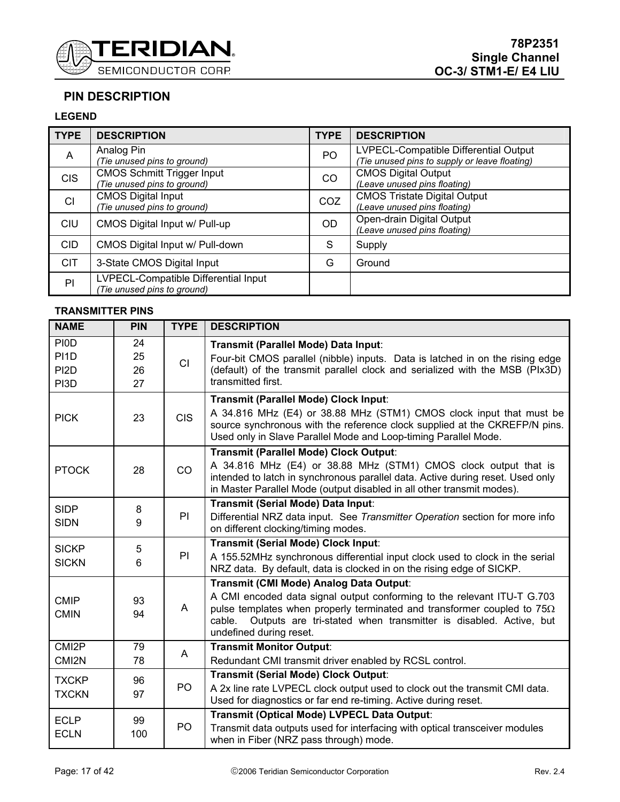

# **PIN DESCRIPTION**

### **LEGEND**

| <b>TYPE</b>    | <b>DESCRIPTION</b>                                                 | <b>TYPE</b>    | <b>DESCRIPTION</b>                                                                     |
|----------------|--------------------------------------------------------------------|----------------|----------------------------------------------------------------------------------------|
| $\overline{A}$ | Analog Pin<br>(Tie unused pins to ground)                          | P <sub>O</sub> | LVPECL-Compatible Differential Output<br>(Tie unused pins to supply or leave floating) |
| <b>CIS</b>     | <b>CMOS Schmitt Trigger Input</b><br>Tie unused pins to ground)    | <b>CO</b>      | <b>CMOS Digital Output</b><br>(Leave unused pins floating)                             |
| CI             | <b>CMOS Digital Input</b><br>Tie unused pins to ground)            | COZ            | <b>CMOS Tristate Digital Output</b><br>(Leave unused pins floating)                    |
| <b>CIU</b>     | CMOS Digital Input w/ Pull-up                                      | <b>OD</b>      | Open-drain Digital Output<br>(Leave unused pins floating)                              |
| <b>CID</b>     | CMOS Digital Input w/ Pull-down                                    | S              | Supply                                                                                 |
| <b>CIT</b>     | 3-State CMOS Digital Input                                         | G              | Ground                                                                                 |
| PI             | LVPECL-Compatible Differential Input<br>Tie unused pins to ground) |                |                                                                                        |

### **TRANSMITTER PINS**

| <b>NAME</b>                                                   | <b>PIN</b>           | <b>TYPE</b>    | <b>DESCRIPTION</b>                                                                                                                                                                                                                                                                                            |  |  |  |  |  |
|---------------------------------------------------------------|----------------------|----------------|---------------------------------------------------------------------------------------------------------------------------------------------------------------------------------------------------------------------------------------------------------------------------------------------------------------|--|--|--|--|--|
| <b>PIOD</b><br>PI <sub>1</sub> D<br>PI <sub>2</sub> D<br>PI3D | 24<br>25<br>26<br>27 | <b>CI</b>      | Transmit (Parallel Mode) Data Input:<br>Four-bit CMOS parallel (nibble) inputs. Data is latched in on the rising edge<br>(default) of the transmit parallel clock and serialized with the MSB (PIx3D)<br>transmitted first.                                                                                   |  |  |  |  |  |
| <b>PICK</b>                                                   | 23                   | <b>CIS</b>     | Transmit (Parallel Mode) Clock Input:<br>A 34.816 MHz (E4) or 38.88 MHz (STM1) CMOS clock input that must be<br>source synchronous with the reference clock supplied at the CKREFP/N pins.<br>Used only in Slave Parallel Mode and Loop-timing Parallel Mode.                                                 |  |  |  |  |  |
| <b>PTOCK</b>                                                  | 28                   | CO             | Transmit (Parallel Mode) Clock Output:<br>A 34.816 MHz (E4) or 38.88 MHz (STM1) CMOS clock output that is<br>intended to latch in synchronous parallel data. Active during reset. Used only<br>in Master Parallel Mode (output disabled in all other transmit modes).                                         |  |  |  |  |  |
| <b>SIDP</b><br><b>SIDN</b>                                    | 8<br>9               | PI             | Transmit (Serial Mode) Data Input:<br>Differential NRZ data input. See Transmitter Operation section for more info<br>on different clocking/timing modes.                                                                                                                                                     |  |  |  |  |  |
| <b>SICKP</b><br><b>SICKN</b>                                  | 5<br>6               | PI             | <b>Transmit (Serial Mode) Clock Input:</b><br>A 155.52MHz synchronous differential input clock used to clock in the serial<br>NRZ data. By default, data is clocked in on the rising edge of SICKP.                                                                                                           |  |  |  |  |  |
| <b>CMIP</b><br><b>CMIN</b>                                    | 93<br>94             | A              | Transmit (CMI Mode) Analog Data Output:<br>A CMI encoded data signal output conforming to the relevant ITU-T G.703<br>pulse templates when properly terminated and transformer coupled to $75\Omega$<br>Outputs are tri-stated when transmitter is disabled. Active, but<br>cable.<br>undefined during reset. |  |  |  |  |  |
| CMI <sub>2</sub> P<br>CMI <sub>2N</sub>                       | 79<br>78             | A              | <b>Transmit Monitor Output:</b><br>Redundant CMI transmit driver enabled by RCSL control.                                                                                                                                                                                                                     |  |  |  |  |  |
| <b>TXCKP</b><br><b>TXCKN</b>                                  | 96<br>97             | P <sub>O</sub> | <b>Transmit (Serial Mode) Clock Output:</b><br>A 2x line rate LVPECL clock output used to clock out the transmit CMI data.<br>Used for diagnostics or far end re-timing. Active during reset.                                                                                                                 |  |  |  |  |  |
| <b>ECLP</b><br><b>ECLN</b>                                    | 99<br>100            | P <sub>O</sub> | Transmit (Optical Mode) LVPECL Data Output:<br>Transmit data outputs used for interfacing with optical transceiver modules<br>when in Fiber (NRZ pass through) mode.                                                                                                                                          |  |  |  |  |  |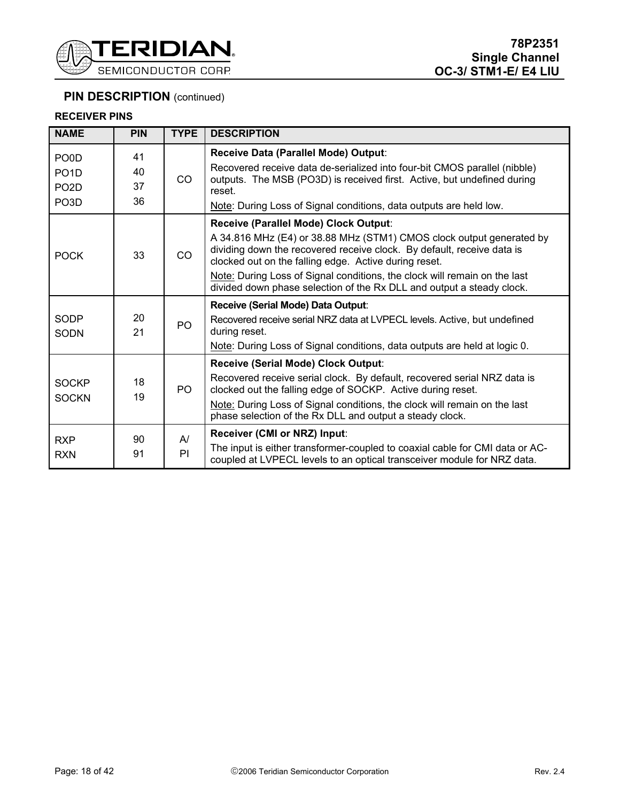

### **RECEIVER PINS**

| <b>NAME</b>                | <b>PIN</b> | <b>TYPE</b>           | <b>DESCRIPTION</b>                                                                                                                                                                                      |  |  |  |  |
|----------------------------|------------|-----------------------|---------------------------------------------------------------------------------------------------------------------------------------------------------------------------------------------------------|--|--|--|--|
| PO <sub>0</sub> D          | 41         |                       | Receive Data (Parallel Mode) Output:                                                                                                                                                                    |  |  |  |  |
| PO <sub>1</sub> D          | 40         |                       | Recovered receive data de-serialized into four-bit CMOS parallel (nibble)                                                                                                                               |  |  |  |  |
| PO <sub>2</sub> D          | 37         | CO.                   | outputs. The MSB (PO3D) is received first. Active, but undefined during<br>reset.                                                                                                                       |  |  |  |  |
| PO <sub>3</sub> D          | 36         |                       | Note: During Loss of Signal conditions, data outputs are held low.                                                                                                                                      |  |  |  |  |
|                            |            |                       | Receive (Parallel Mode) Clock Output:                                                                                                                                                                   |  |  |  |  |
| <b>POCK</b>                | 33         | <b>CO</b>             | A 34.816 MHz (E4) or 38.88 MHz (STM1) CMOS clock output generated by<br>dividing down the recovered receive clock. By default, receive data is<br>clocked out on the falling edge. Active during reset. |  |  |  |  |
|                            |            |                       | Note: During Loss of Signal conditions, the clock will remain on the last<br>divided down phase selection of the Rx DLL and output a steady clock.                                                      |  |  |  |  |
|                            |            |                       | Receive (Serial Mode) Data Output:                                                                                                                                                                      |  |  |  |  |
| <b>SODP</b><br><b>SODN</b> | 20<br>21   | P <sub>O</sub>        | Recovered receive serial NRZ data at LVPECL levels. Active, but undefined<br>during reset.                                                                                                              |  |  |  |  |
|                            |            |                       | Note: During Loss of Signal conditions, data outputs are held at logic 0.                                                                                                                               |  |  |  |  |
|                            |            |                       | Receive (Serial Mode) Clock Output:                                                                                                                                                                     |  |  |  |  |
| <b>SOCKP</b>               | 18<br>19   | PO.                   | Recovered receive serial clock. By default, recovered serial NRZ data is<br>clocked out the falling edge of SOCKP. Active during reset.                                                                 |  |  |  |  |
| <b>SOCKN</b>               |            |                       | Note: During Loss of Signal conditions, the clock will remain on the last<br>phase selection of the Rx DLL and output a steady clock.                                                                   |  |  |  |  |
| <b>RXP</b>                 | 90         | $\mathsf{A}^{\prime}$ | Receiver (CMI or NRZ) Input:                                                                                                                                                                            |  |  |  |  |
| <b>RXN</b>                 | 91         | PI                    | The input is either transformer-coupled to coaxial cable for CMI data or AC-<br>coupled at LVPECL levels to an optical transceiver module for NRZ data.                                                 |  |  |  |  |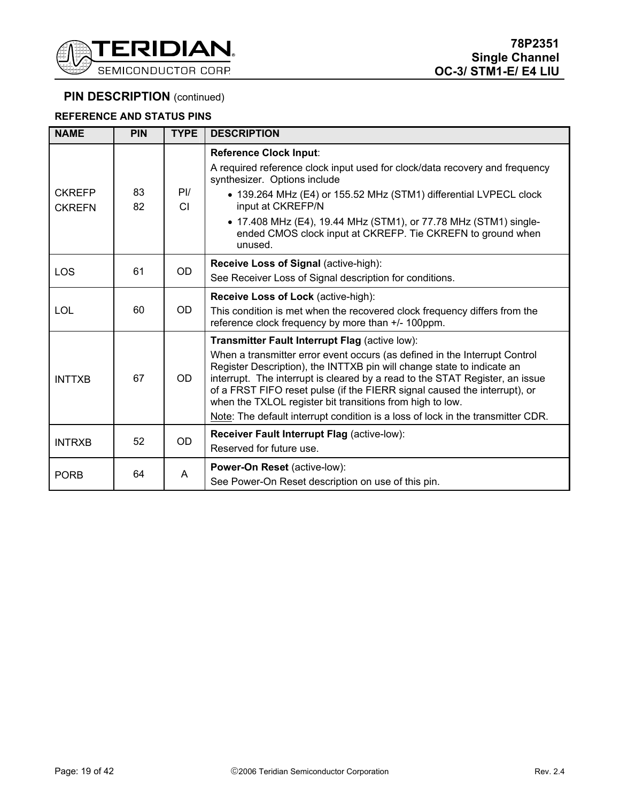

### **REFERENCE AND STATUS PINS**

| <b>NAME</b>                    | <b>PIN</b> | <b>TYPE</b>   | <b>DESCRIPTION</b>                                                                                                                                                                                                                                                                                                                                                             |
|--------------------------------|------------|---------------|--------------------------------------------------------------------------------------------------------------------------------------------------------------------------------------------------------------------------------------------------------------------------------------------------------------------------------------------------------------------------------|
|                                |            |               | <b>Reference Clock Input:</b>                                                                                                                                                                                                                                                                                                                                                  |
|                                |            |               | A required reference clock input used for clock/data recovery and frequency<br>synthesizer. Options include                                                                                                                                                                                                                                                                    |
| <b>CKREFP</b><br><b>CKREFN</b> | 83<br>82   | $P$ I/<br>CI. | • 139.264 MHz (E4) or 155.52 MHz (STM1) differential LVPECL clock<br>input at CKREFP/N                                                                                                                                                                                                                                                                                         |
|                                |            |               | • 17.408 MHz (E4), 19.44 MHz (STM1), or 77.78 MHz (STM1) single-<br>ended CMOS clock input at CKREFP. Tie CKREFN to ground when<br>unused.                                                                                                                                                                                                                                     |
|                                |            |               | <b>Receive Loss of Signal (active-high):</b>                                                                                                                                                                                                                                                                                                                                   |
| LOS                            | 61         | <b>OD</b>     | See Receiver Loss of Signal description for conditions.                                                                                                                                                                                                                                                                                                                        |
|                                |            |               | Receive Loss of Lock (active-high):                                                                                                                                                                                                                                                                                                                                            |
| <b>LOL</b>                     | 60         | OD.           | This condition is met when the recovered clock frequency differs from the<br>reference clock frequency by more than +/- 100ppm.                                                                                                                                                                                                                                                |
|                                |            |               | Transmitter Fault Interrupt Flag (active low):                                                                                                                                                                                                                                                                                                                                 |
| <b>INTTXB</b>                  | 67         | <b>OD</b>     | When a transmitter error event occurs (as defined in the Interrupt Control<br>Register Description), the INTTXB pin will change state to indicate an<br>interrupt. The interrupt is cleared by a read to the STAT Register, an issue<br>of a FRST FIFO reset pulse (if the FIERR signal caused the interrupt), or<br>when the TXLOL register bit transitions from high to low. |
|                                |            |               | Note: The default interrupt condition is a loss of lock in the transmitter CDR.                                                                                                                                                                                                                                                                                                |
| <b>INTRXB</b>                  | 52         | <b>OD</b>     | Receiver Fault Interrupt Flag (active-low):                                                                                                                                                                                                                                                                                                                                    |
|                                |            |               | Reserved for future use.                                                                                                                                                                                                                                                                                                                                                       |
| <b>PORB</b>                    | 64         | A             | Power-On Reset (active-low):                                                                                                                                                                                                                                                                                                                                                   |
|                                |            |               | See Power-On Reset description on use of this pin.                                                                                                                                                                                                                                                                                                                             |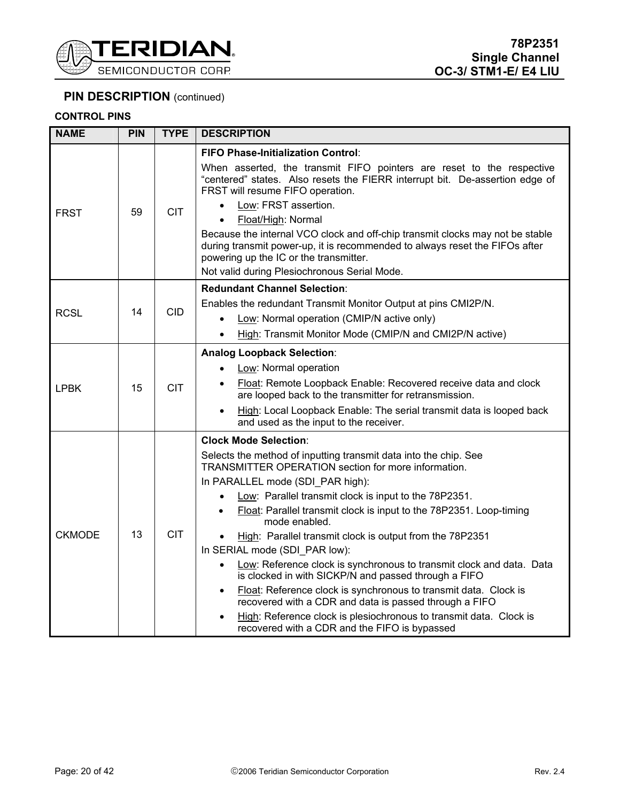

### **CONTROL PINS**

| <b>NAME</b>   | <b>PIN</b> | <b>TYPE</b> | <b>DESCRIPTION</b>                                                                                                                                                                                                                                                                                                                                                                                                                                                                                                                                                                                                                                                                                                                                                                                                                          |
|---------------|------------|-------------|---------------------------------------------------------------------------------------------------------------------------------------------------------------------------------------------------------------------------------------------------------------------------------------------------------------------------------------------------------------------------------------------------------------------------------------------------------------------------------------------------------------------------------------------------------------------------------------------------------------------------------------------------------------------------------------------------------------------------------------------------------------------------------------------------------------------------------------------|
| <b>FRST</b>   | 59         | <b>CIT</b>  | <b>FIFO Phase-Initialization Control:</b><br>When asserted, the transmit FIFO pointers are reset to the respective<br>"centered" states. Also resets the FIERR interrupt bit. De-assertion edge of<br>FRST will resume FIFO operation.<br>Low: FRST assertion.<br>Float/High: Normal<br>Because the internal VCO clock and off-chip transmit clocks may not be stable<br>during transmit power-up, it is recommended to always reset the FIFOs after<br>powering up the IC or the transmitter.<br>Not valid during Plesiochronous Serial Mode.                                                                                                                                                                                                                                                                                              |
| <b>RCSL</b>   | 14         | <b>CID</b>  | <b>Redundant Channel Selection:</b><br>Enables the redundant Transmit Monitor Output at pins CMI2P/N.<br>Low: Normal operation (CMIP/N active only)<br>High: Transmit Monitor Mode (CMIP/N and CMI2P/N active)                                                                                                                                                                                                                                                                                                                                                                                                                                                                                                                                                                                                                              |
| <b>LPBK</b>   | 15         | <b>CIT</b>  | <b>Analog Loopback Selection:</b><br>Low: Normal operation<br>Float: Remote Loopback Enable: Recovered receive data and clock<br>are looped back to the transmitter for retransmission.<br>High: Local Loopback Enable: The serial transmit data is looped back<br>and used as the input to the receiver.                                                                                                                                                                                                                                                                                                                                                                                                                                                                                                                                   |
| <b>CKMODE</b> | 13         | <b>CIT</b>  | <b>Clock Mode Selection:</b><br>Selects the method of inputting transmit data into the chip. See<br>TRANSMITTER OPERATION section for more information.<br>In PARALLEL mode (SDI PAR high):<br>Low: Parallel transmit clock is input to the 78P2351.<br>Float: Parallel transmit clock is input to the 78P2351. Loop-timing<br>mode enabled.<br>High: Parallel transmit clock is output from the 78P2351<br>In SERIAL mode (SDI PAR low):<br>Low: Reference clock is synchronous to transmit clock and data. Data<br>is clocked in with SICKP/N and passed through a FIFO<br>Float: Reference clock is synchronous to transmit data. Clock is<br>$\bullet$<br>recovered with a CDR and data is passed through a FIFO<br>High: Reference clock is plesiochronous to transmit data. Clock is<br>recovered with a CDR and the FIFO is bypassed |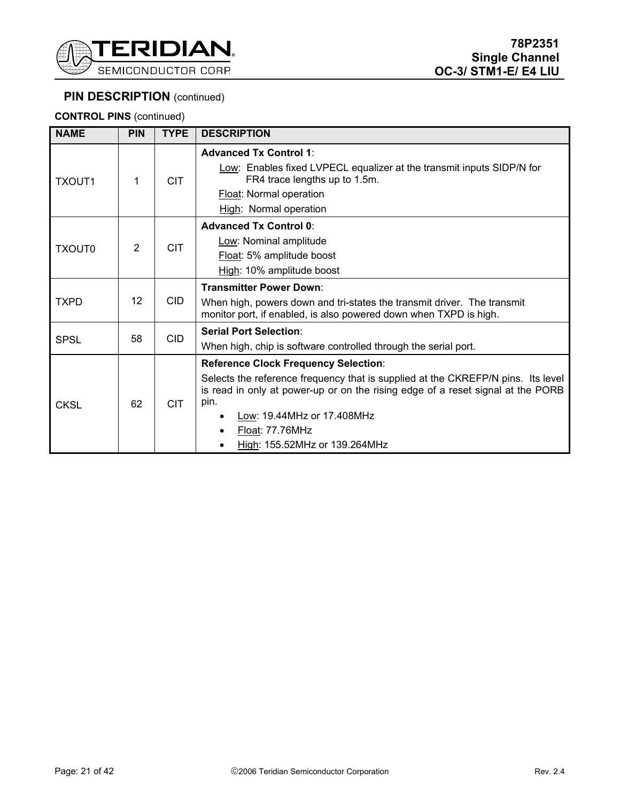

**CONTROL PINS** (continued)

| <b>NAME</b>   | <b>PIN</b> | <b>TYPE</b> | <b>DESCRIPTION</b>                                                                                                                                                                                                                                                                                           |
|---------------|------------|-------------|--------------------------------------------------------------------------------------------------------------------------------------------------------------------------------------------------------------------------------------------------------------------------------------------------------------|
| <b>TXOUT1</b> | 1          | <b>CIT</b>  | <b>Advanced Tx Control 1:</b><br>Low: Enables fixed LVPECL equalizer at the transmit inputs SIDP/N for<br>FR4 trace lengths up to 1.5m.<br>Float: Normal operation<br>High: Normal operation                                                                                                                 |
| TXOUT0        | 2          | <b>CIT</b>  | <b>Advanced Tx Control 0:</b><br>Low: Nominal amplitude<br>Float: 5% amplitude boost<br>High: 10% amplitude boost                                                                                                                                                                                            |
| <b>TXPD</b>   | 12         | <b>CID</b>  | <b>Transmitter Power Down:</b><br>When high, powers down and tri-states the transmit driver. The transmit<br>monitor port, if enabled, is also powered down when TXPD is high.                                                                                                                               |
| <b>SPSL</b>   | 58         | <b>CID</b>  | <b>Serial Port Selection:</b><br>When high, chip is software controlled through the serial port.                                                                                                                                                                                                             |
| <b>CKSL</b>   | 62         | <b>CIT</b>  | <b>Reference Clock Frequency Selection:</b><br>Selects the reference frequency that is supplied at the CKREFP/N pins. Its level<br>is read in only at power-up or on the rising edge of a reset signal at the PORB<br>pin.<br>Low: 19.44MHz or 17.408MHz<br>Float: 77.76MHz<br>High: 155.52MHz or 139.264MHz |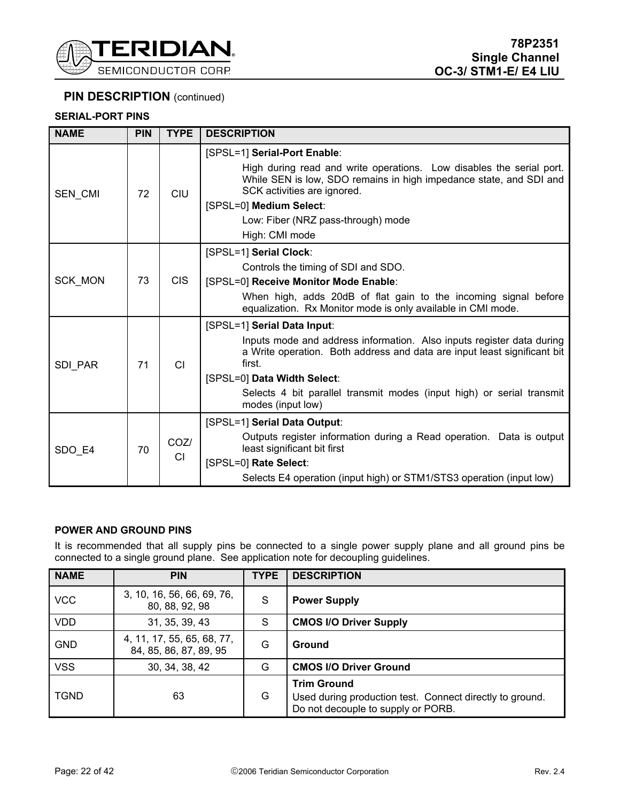

### **SERIAL-PORT PINS**

| <b>NAME</b>    | <b>PIN</b> | <b>TYPE</b> | <b>DESCRIPTION</b>                                                                                                                                                        |
|----------------|------------|-------------|---------------------------------------------------------------------------------------------------------------------------------------------------------------------------|
|                |            |             | [SPSL=1] Serial-Port Enable:                                                                                                                                              |
| SEN_CMI        | 72         | CIU         | High during read and write operations. Low disables the serial port.<br>While SEN is low, SDO remains in high impedance state, and SDI and<br>SCK activities are ignored. |
|                |            |             | [SPSL=0] Medium Select:                                                                                                                                                   |
|                |            |             | Low: Fiber (NRZ pass-through) mode                                                                                                                                        |
|                |            |             | High: CMI mode                                                                                                                                                            |
|                |            |             | [SPSL=1] Serial Clock:                                                                                                                                                    |
|                |            |             | Controls the timing of SDI and SDO.                                                                                                                                       |
| SCK_MON        | 73         | CIS.        | [SPSL=0] Receive Monitor Mode Enable:                                                                                                                                     |
|                |            |             | When high, adds 20dB of flat gain to the incoming signal before<br>equalization. Rx Monitor mode is only available in CMI mode.                                           |
|                |            |             | [SPSL=1] Serial Data Input:                                                                                                                                               |
| <b>SDI PAR</b> | 71         | <b>CI</b>   | Inputs mode and address information. Also inputs register data during<br>a Write operation. Both address and data are input least significant bit<br>first.               |
|                |            |             | [SPSL=0] Data Width Select:                                                                                                                                               |
|                |            |             | Selects 4 bit parallel transmit modes (input high) or serial transmit<br>modes (input low)                                                                                |
|                |            |             | [SPSL=1] Serial Data Output:                                                                                                                                              |
| SDO_E4         | 70         | COZ/<br>CI  | Outputs register information during a Read operation. Data is output<br>least significant bit first                                                                       |
|                |            |             | [SPSL=0] Rate Select:                                                                                                                                                     |
|                |            |             | Selects E4 operation (input high) or STM1/STS3 operation (input low)                                                                                                      |

#### **POWER AND GROUND PINS**

It is recommended that all supply pins be connected to a single power supply plane and all ground pins be connected to a single ground plane. See application note for decoupling guidelines.

| <b>NAME</b> | <b>PIN</b>                                           | <b>TYPE</b> | <b>DESCRIPTION</b>                                                                                                   |
|-------------|------------------------------------------------------|-------------|----------------------------------------------------------------------------------------------------------------------|
| <b>VCC</b>  | 3, 10, 16, 56, 66, 69, 76,<br>80, 88, 92, 98         | S           | <b>Power Supply</b>                                                                                                  |
| <b>VDD</b>  | 31, 35, 39, 43                                       | S           | <b>CMOS I/O Driver Supply</b>                                                                                        |
| <b>GND</b>  | 4, 11, 17, 55, 65, 68, 77,<br>84, 85, 86, 87, 89, 95 | G           | Ground                                                                                                               |
| <b>VSS</b>  | 30, 34, 38, 42                                       | G           | <b>CMOS I/O Driver Ground</b>                                                                                        |
| <b>TGND</b> | 63                                                   | G           | <b>Trim Ground</b><br>Used during production test. Connect directly to ground.<br>Do not decouple to supply or PORB. |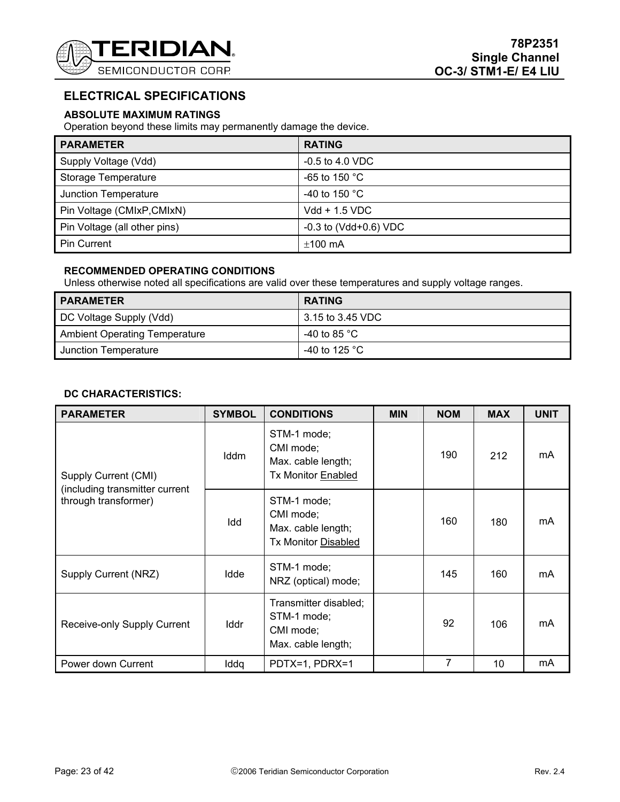

# **ELECTRICAL SPECIFICATIONS**

### **ABSOLUTE MAXIMUM RATINGS**

Operation beyond these limits may permanently damage the device.

| <b>PARAMETER</b>             | <b>RATING</b>               |
|------------------------------|-----------------------------|
| Supply Voltage (Vdd)         | $-0.5$ to 4.0 VDC           |
| Storage Temperature          | -65 to 150 $^{\circ}$ C     |
| Junction Temperature         | -40 to 150 $^{\circ}$ C     |
| Pin Voltage (CMIxP, CMIxN)   | $Vdd + 1.5 VDC$             |
| Pin Voltage (all other pins) | $-0.3$ to (Vdd $+0.6$ ) VDC |
| <b>Pin Current</b>           | $±100$ mA                   |

### **RECOMMENDED OPERATING CONDITIONS**

Unless otherwise noted all specifications are valid over these temperatures and supply voltage ranges.

| <b>PARAMETER</b>                     | <b>RATING</b>               |
|--------------------------------------|-----------------------------|
| DC Voltage Supply (Vdd)              | 3.15 to 3.45 VDC            |
| <b>Ambient Operating Temperature</b> | -40 to 85 $^{\circ}$ C $\,$ |
| Junction Temperature                 | $-40$ to 125 °C             |

### **DC CHARACTERISTICS:**

| <b>PARAMETER</b>                                       | <b>SYMBOL</b> | <b>CONDITIONS</b>                                                            | <b>MIN</b> | <b>NOM</b> | <b>MAX</b> | <b>UNIT</b> |
|--------------------------------------------------------|---------------|------------------------------------------------------------------------------|------------|------------|------------|-------------|
| Supply Current (CMI)                                   | Iddm          | STM-1 mode;<br>CMI mode;<br>Max. cable length;<br><b>Tx Monitor Enabled</b>  |            | 190        | 212        | mA          |
| (including transmitter current<br>through transformer) | Idd           | STM-1 mode;<br>CMI mode;<br>Max. cable length;<br><b>Tx Monitor Disabled</b> |            | 160        | 180        | mA          |
| Supply Current (NRZ)                                   | Idde          | STM-1 mode;<br>NRZ (optical) mode;                                           |            | 145        | 160        | mA          |
| Receive-only Supply Current                            | Iddr          | Transmitter disabled;<br>STM-1 mode;<br>CMI mode;<br>Max. cable length;      |            | 92         | 106        | mA          |
| Power down Current                                     | Iddq          | PDTX=1, PDRX=1                                                               |            | 7          | 10         | mA          |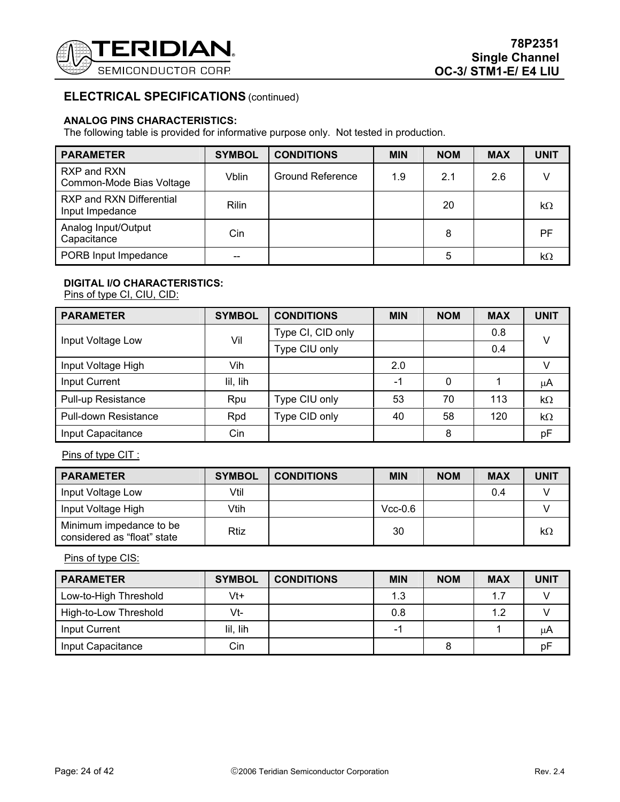

### **ANALOG PINS CHARACTERISTICS:**

The following table is provided for informative purpose only. Not tested in production.

| <b>PARAMETER</b>                            | <b>SYMBOL</b> | <b>CONDITIONS</b>       | <b>MIN</b> | <b>NOM</b> | <b>MAX</b> | UNIT      |
|---------------------------------------------|---------------|-------------------------|------------|------------|------------|-----------|
| RXP and RXN<br>Common-Mode Bias Voltage     | Vblin         | <b>Ground Reference</b> | 1.9        | 2.1        | 2.6        |           |
| RXP and RXN Differential<br>Input Impedance | <b>Rilin</b>  |                         |            | 20         |            | $k\Omega$ |
| Analog Input/Output<br>Capacitance          | Cin           |                         |            | 8          |            | PF        |
| PORB Input Impedance                        | --            |                         |            | 5          |            | $k\Omega$ |

### **DIGITAL I/O CHARACTERISTICS:**

Pins of type CI, CIU, CID:

| <b>PARAMETER</b>            | <b>SYMBOL</b> | <b>CONDITIONS</b> | <b>MIN</b> | <b>NOM</b> | <b>MAX</b> | <b>UNIT</b> |
|-----------------------------|---------------|-------------------|------------|------------|------------|-------------|
| Input Voltage Low           | Vil           | Type CI, CID only |            |            | 0.8        | v           |
|                             |               | Type CIU only     |            |            | 0.4        |             |
| Input Voltage High          | Vih           |                   | 2.0        |            |            | v           |
| Input Current               | lil, lih      |                   | $-1$       | 0          |            | μA          |
| Pull-up Resistance          | Rpu           | Type CIU only     | 53         | 70         | 113        | $k\Omega$   |
| <b>Pull-down Resistance</b> | Rpd           | Type CID only     | 40         | 58         | 120        | $k\Omega$   |
| Input Capacitance           | Cin           |                   |            | 8          |            | pF          |

Pins of type CIT :

| <b>PARAMETER</b>                                       | <b>SYMBOL</b> | <b>CONDITIONS</b> | <b>MIN</b> | <b>NOM</b> | <b>MAX</b> | <b>UNIT</b> |
|--------------------------------------------------------|---------------|-------------------|------------|------------|------------|-------------|
| Input Voltage Low                                      | Vtil          |                   |            |            | 0.4        |             |
| Input Voltage High                                     | Vtih          |                   | $Vcc-0.6$  |            |            |             |
| Minimum impedance to be<br>considered as "float" state | Rtiz          |                   | 30         |            |            | $k\Omega$   |

Pins of type CIS:

| <b>PARAMETER</b>      | <b>SYMBOL</b> | <b>CONDITIONS</b> | <b>MIN</b> | <b>NOM</b> | <b>MAX</b> | <b>UNIT</b> |
|-----------------------|---------------|-------------------|------------|------------|------------|-------------|
| Low-to-High Threshold | Vt+           |                   | 1.3        |            | 1.7        |             |
| High-to-Low Threshold | Vt-           |                   | 0.8        |            | 1.2        |             |
| Input Current         | lil, lih      |                   | -1         |            |            | uΑ          |
| Input Capacitance     | Cin           |                   |            |            |            | рF          |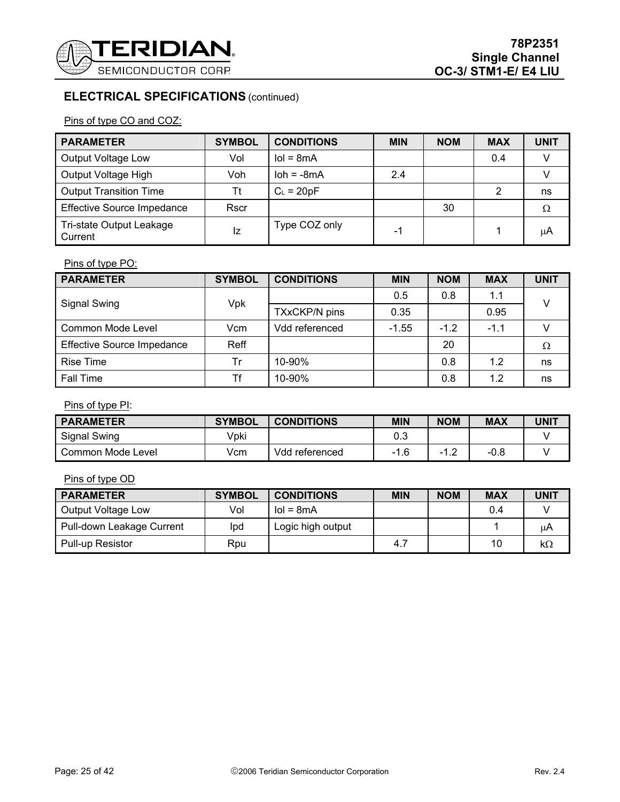

Pins of type CO and COZ:

| <b>PARAMETER</b>                    | <b>SYMBOL</b> | <b>CONDITIONS</b> | <b>MIN</b> | <b>NOM</b> | <b>MAX</b> | <b>UNIT</b> |
|-------------------------------------|---------------|-------------------|------------|------------|------------|-------------|
| Output Voltage Low                  | Vol           | $IoI = 8mA$       |            |            | 0.4        |             |
| Output Voltage High                 | Voh           | $\lambda = -8mA$  | 2.4        |            |            |             |
| <b>Output Transition Time</b>       | Τt            | $C_L = 20pF$      |            |            |            | ns          |
| <b>Effective Source Impedance</b>   | <b>Rscr</b>   |                   |            | 30         |            | Ω           |
| Tri-state Output Leakage<br>Current | Ιz            | Type COZ only     | -1         |            |            | μA          |

# Pins of type PO:

| <b>PARAMETER</b>                  | <b>SYMBOL</b> | <b>CONDITIONS</b>    | <b>MIN</b> | <b>NOM</b> | <b>MAX</b> | <b>UNIT</b> |
|-----------------------------------|---------------|----------------------|------------|------------|------------|-------------|
| <b>Signal Swing</b>               |               |                      | 0.5        | 0.8        | 1.1        | v           |
|                                   | Vpk           | <b>TXxCKP/N pins</b> | 0.35       |            | 0.95       |             |
| Common Mode Level                 | Vcm           | Vdd referenced       | $-1.55$    | $-1.2$     | $-1.1$     |             |
| <b>Effective Source Impedance</b> | Reff          |                      |            | 20         |            | Ω           |
| Rise Time                         | Tr            | 10-90%               |            | 0.8        | 1.2        | ns          |
| <b>Fall Time</b>                  | Tf            | 10-90%               |            | 0.8        | 1.2        | ns          |

Pins of type PI:

| <b>PARAMETER</b>  | <b>SYMBOL</b> | <b>CONDITIONS</b>   | <b>MIN</b> | <b>NOM</b> | <b>MAX</b> | UNIT |
|-------------------|---------------|---------------------|------------|------------|------------|------|
| Signal Swing      | Vpki          |                     | 0.3        |            |            |      |
| Common Mode Level | Vcm           | Vdd<br>l referenced | $-1.6$     | -1         | -0.8       |      |

# Pins of type OD

| <b>PARAMETER</b>          | <b>SYMBOL</b> | <b>CONDITIONS</b> | <b>MIN</b> | <b>NOM</b> | <b>MAX</b> | <b>UNIT</b> |
|---------------------------|---------------|-------------------|------------|------------|------------|-------------|
| Output Voltage Low        | Vol           | $I$ ol = 8m $A$   |            |            | 0.4        |             |
| Pull-down Leakage Current | Ipd           | Logic high output |            |            |            | μA          |
| <b>Pull-up Resistor</b>   | Rpu           |                   | 4.7        |            | 10         | kΩ          |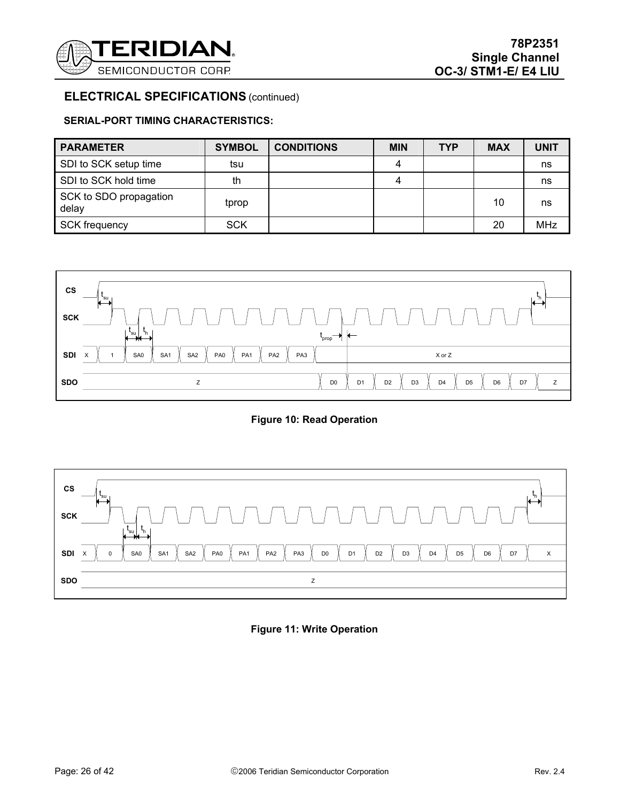

### **SERIAL-PORT TIMING CHARACTERISTICS:**

| <b>PARAMETER</b>                | <b>SYMBOL</b> | <b>CONDITIONS</b> | <b>MIN</b> | <b>TYP</b> | <b>MAX</b> | <b>UNIT</b> |
|---------------------------------|---------------|-------------------|------------|------------|------------|-------------|
| SDI to SCK setup time           | tsu           |                   | 4          |            |            | ns          |
| SDI to SCK hold time            | th            |                   | 4          |            |            | ns          |
| SCK to SDO propagation<br>delay | tprop         |                   |            |            | 10         | ns          |
| <b>SCK frequency</b>            | <b>SCK</b>    |                   |            |            | 20         | <b>MHz</b>  |



**Figure 10: Read Operation**



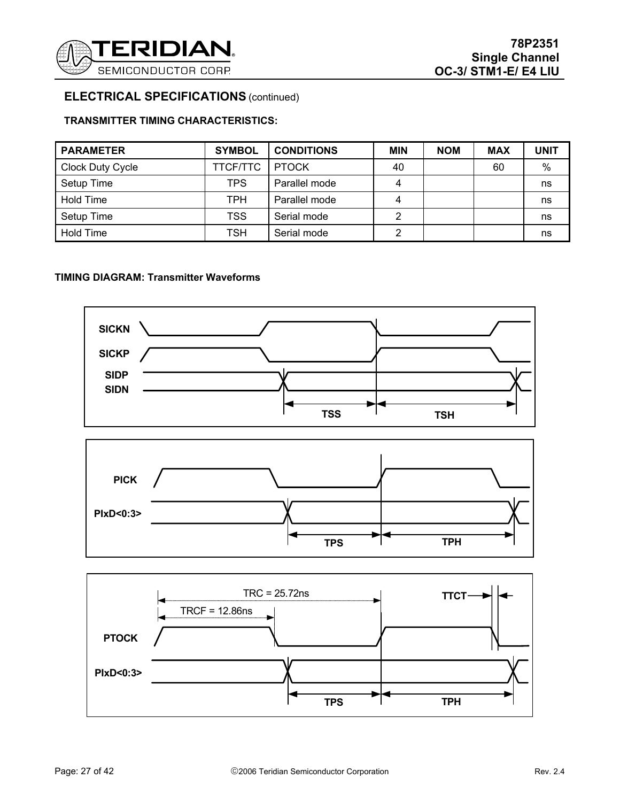

### **TRANSMITTER TIMING CHARACTERISTICS:**

| <b>PARAMETER</b>        | <b>SYMBOL</b> | <b>CONDITIONS</b> | <b>MIN</b> | <b>NOM</b> | <b>MAX</b> | <b>UNIT</b> |
|-------------------------|---------------|-------------------|------------|------------|------------|-------------|
| <b>Clock Duty Cycle</b> | TTCF/TTC      | <b>PTOCK</b>      | 40         |            | 60         | $\%$        |
| Setup Time              | <b>TPS</b>    | Parallel mode     | 4          |            |            | ns          |
| Hold Time               | <b>TPH</b>    | Parallel mode     | 4          |            |            | ns          |
| Setup Time              | <b>TSS</b>    | Serial mode       | 2          |            |            | ns          |
| Hold Time               | <b>TSH</b>    | Serial mode       | 2          |            |            | ns          |

### **TIMING DIAGRAM: Transmitter Waveforms**

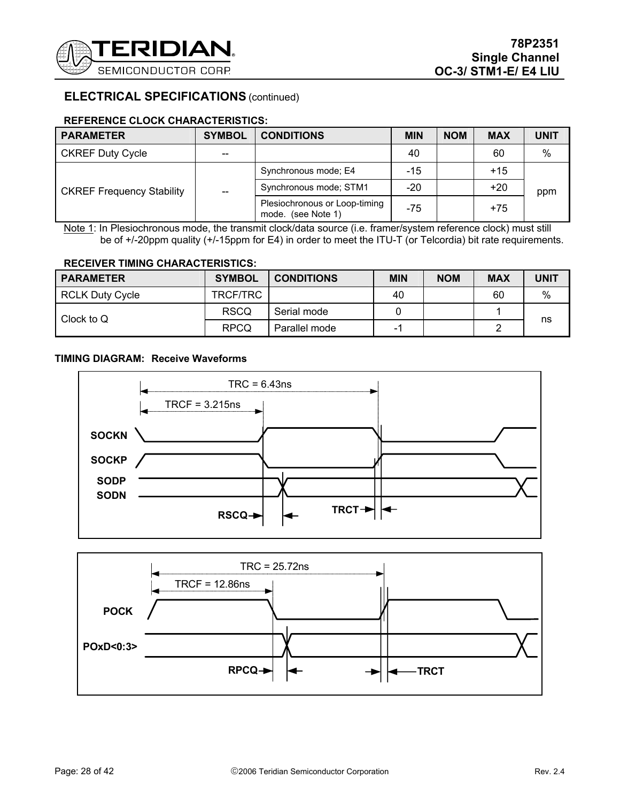

### **REFERENCE CLOCK CHARACTERISTICS:**

| <b>PARAMETER</b>                 | <b>SYMBOL</b>            | <b>CONDITIONS</b>                                   | <b>MIN</b> | <b>NOM</b> | <b>MAX</b> | <b>UNIT</b> |
|----------------------------------|--------------------------|-----------------------------------------------------|------------|------------|------------|-------------|
| <b>CKREF Duty Cycle</b>          | --                       |                                                     | 40         |            | 60         | $\%$        |
| <b>CKREF Frequency Stability</b> | $\overline{\phantom{m}}$ | Synchronous mode; E4                                | -15        |            | $+15$      |             |
|                                  |                          | Synchronous mode; STM1                              | $-20$      |            | $+20$      | ppm         |
|                                  |                          | Plesiochronous or Loop-timing<br>mode. (see Note 1) | $-75$      |            | $+75$      |             |

Note 1: In Plesiochronous mode, the transmit clock/data source (i.e. framer/system reference clock) must still be of +/-20ppm quality (+/-15ppm for E4) in order to meet the ITU-T (or Telcordia) bit rate requirements.

### **RECEIVER TIMING CHARACTERISTICS:**

| <b>PARAMETER</b>       | <b>SYMBOL</b> | <b>CONDITIONS</b> | <b>MIN</b> | <b>NOM</b> | <b>MAX</b> | <b>UNIT</b> |
|------------------------|---------------|-------------------|------------|------------|------------|-------------|
| <b>RCLK Duty Cycle</b> | TRCF/TRC      |                   | 40         |            | 60         | %           |
| Clock to Q             | <b>RSCQ</b>   | Serial mode       |            |            |            |             |
|                        | <b>RPCQ</b>   | Parallel mode     | -1         |            |            | ns          |

### **TIMING DIAGRAM: Receive Waveforms**



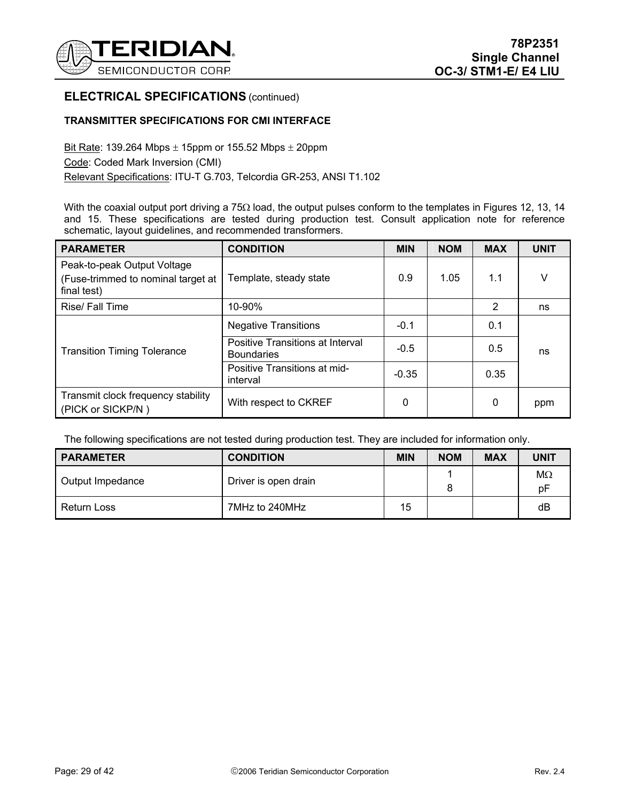

### **TRANSMITTER SPECIFICATIONS FOR CMI INTERFACE**

Bit Rate: 139.264 Mbps  $\pm$  15ppm or 155.52 Mbps  $\pm$  20ppm Code: Coded Mark Inversion (CMI) Relevant Specifications: ITU-T G.703, Telcordia GR-253, ANSI T1.102

With the coaxial output port driving a 75Ω load, the output pulses conform to the templates in Figures 12, 13, 14 and 15. These specifications are tested during production test. Consult application note for reference schematic, layout guidelines, and recommended transformers.

| <b>PARAMETER</b>                                                                 | <b>CONDITION</b>                                      | <b>MIN</b> | <b>NOM</b> | <b>MAX</b> | <b>UNIT</b> |
|----------------------------------------------------------------------------------|-------------------------------------------------------|------------|------------|------------|-------------|
| Peak-to-peak Output Voltage<br>(Fuse-trimmed to nominal target at<br>final test) | Template, steady state                                | 0.9        | 1.05       | 1.1        | V           |
| Rise/ Fall Time                                                                  | 10-90%                                                |            |            | 2          | ns          |
|                                                                                  | <b>Negative Transitions</b>                           | $-0.1$     |            | 0.1        |             |
| <b>Transition Timing Tolerance</b>                                               | Positive Transitions at Interval<br><b>Boundaries</b> | $-0.5$     |            | 0.5        | ns          |
|                                                                                  | Positive Transitions at mid-<br>interval              | $-0.35$    |            | 0.35       |             |
| Transmit clock frequency stability<br>(PICK or SICKP/N)                          | With respect to CKREF                                 | 0          |            | 0          | ppm         |

The following specifications are not tested during production test. They are included for information only.

| <b>PARAMETER</b> | <b>CONDITION</b>     | <b>MIN</b> | <b>NOM</b> | <b>MAX</b> | <b>UNIT</b> |
|------------------|----------------------|------------|------------|------------|-------------|
| Output Impedance | Driver is open drain |            |            |            | MΩ<br>рF    |
| Return Loss      | 7MHz to 240MHz       | 15         |            |            | dB          |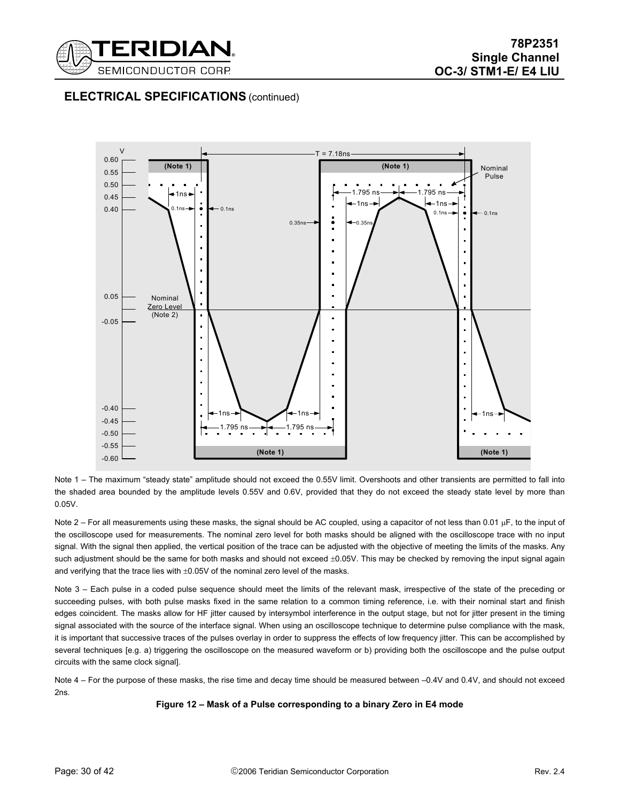



Note 1 – The maximum "steady state" amplitude should not exceed the 0.55V limit. Overshoots and other transients are permitted to fall into the shaded area bounded by the amplitude levels 0.55V and 0.6V, provided that they do not exceed the steady state level by more than 0.05V.

Note 2 – For all measurements using these masks, the signal should be AC coupled, using a capacitor of not less than 0.01 µF, to the input of the oscilloscope used for measurements. The nominal zero level for both masks should be aligned with the oscilloscope trace with no input signal. With the signal then applied, the vertical position of the trace can be adjusted with the objective of meeting the limits of the masks. Any such adjustment should be the same for both masks and should not exceed  $\pm 0.05V$ . This may be checked by removing the input signal again and verifying that the trace lies with  $\pm 0.05V$  of the nominal zero level of the masks.

Note 3 – Each pulse in a coded pulse sequence should meet the limits of the relevant mask, irrespective of the state of the preceding or succeeding pulses, with both pulse masks fixed in the same relation to a common timing reference, i.e. with their nominal start and finish edges coincident. The masks allow for HF jitter caused by intersymbol interference in the output stage, but not for jitter present in the timing signal associated with the source of the interface signal. When using an oscilloscope technique to determine pulse compliance with the mask, it is important that successive traces of the pulses overlay in order to suppress the effects of low frequency jitter. This can be accomplished by several techniques [e.g. a) triggering the oscilloscope on the measured waveform or b) providing both the oscilloscope and the pulse output circuits with the same clock signal].

Note 4 – For the purpose of these masks, the rise time and decay time should be measured between –0.4V and 0.4V, and should not exceed 2ns.

#### **Figure 12 – Mask of a Pulse corresponding to a binary Zero in E4 mode**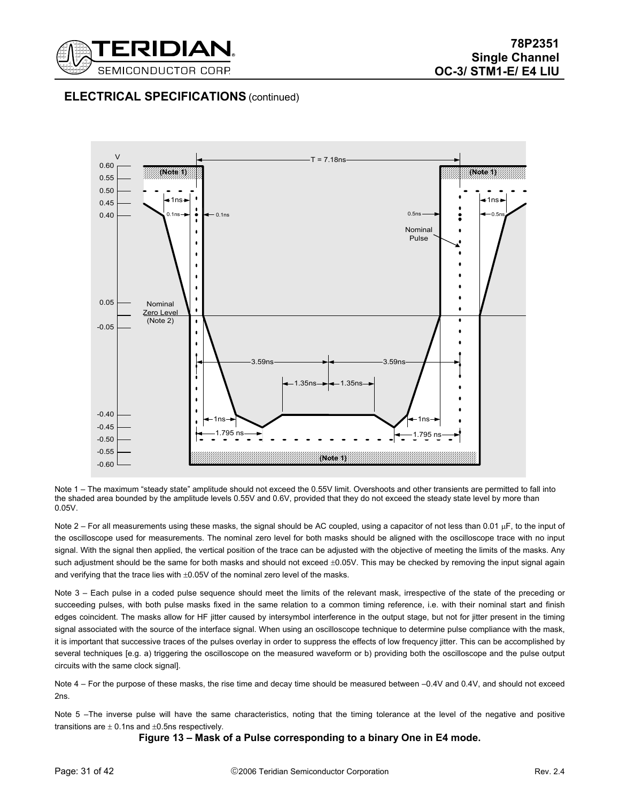



Note 1 – The maximum "steady state" amplitude should not exceed the 0.55V limit. Overshoots and other transients are permitted to fall into the shaded area bounded by the amplitude levels 0.55V and 0.6V, provided that they do not exceed the steady state level by more than 0.05V.

Note 2 – For all measurements using these masks, the signal should be AC coupled, using a capacitor of not less than 0.01 µF, to the input of the oscilloscope used for measurements. The nominal zero level for both masks should be aligned with the oscilloscope trace with no input signal. With the signal then applied, the vertical position of the trace can be adjusted with the objective of meeting the limits of the masks. Any such adjustment should be the same for both masks and should not exceed  $\pm 0.05V$ . This may be checked by removing the input signal again and verifying that the trace lies with  $\pm 0.05V$  of the nominal zero level of the masks.

Note 3 – Each pulse in a coded pulse sequence should meet the limits of the relevant mask, irrespective of the state of the preceding or succeeding pulses, with both pulse masks fixed in the same relation to a common timing reference, i.e. with their nominal start and finish edges coincident. The masks allow for HF jitter caused by intersymbol interference in the output stage, but not for jitter present in the timing signal associated with the source of the interface signal. When using an oscilloscope technique to determine pulse compliance with the mask, it is important that successive traces of the pulses overlay in order to suppress the effects of low frequency jitter. This can be accomplished by several techniques [e.g. a) triggering the oscilloscope on the measured waveform or b) providing both the oscilloscope and the pulse output circuits with the same clock signal].

Note 4 – For the purpose of these masks, the rise time and decay time should be measured between –0.4V and 0.4V, and should not exceed 2ns.

Note 5 –The inverse pulse will have the same characteristics, noting that the timing tolerance at the level of the negative and positive transitions are  $\pm$  0.1ns and  $\pm$ 0.5ns respectively.

**Figure 13 – Mask of a Pulse corresponding to a binary One in E4 mode.**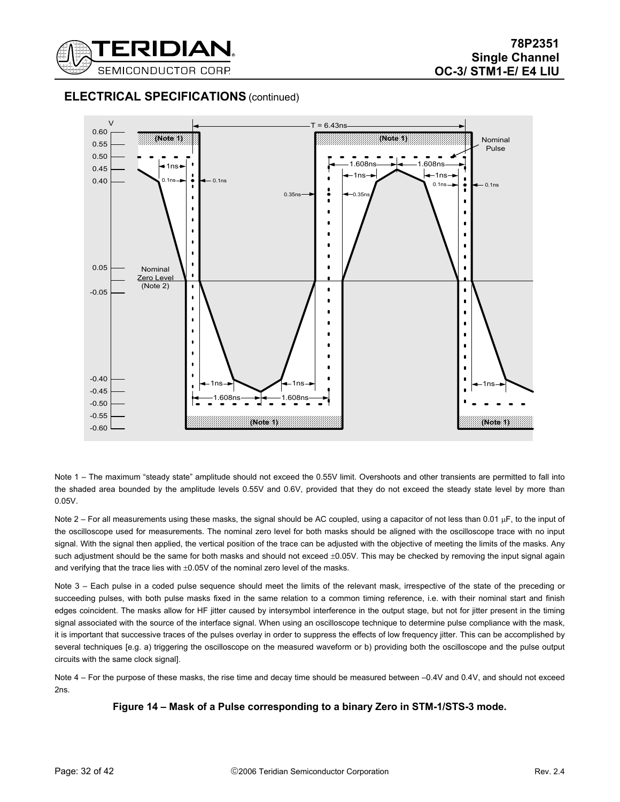



Note 1 – The maximum "steady state" amplitude should not exceed the 0.55V limit. Overshoots and other transients are permitted to fall into the shaded area bounded by the amplitude levels 0.55V and 0.6V, provided that they do not exceed the steady state level by more than 0.05V.

Note 2 – For all measurements using these masks, the signal should be AC coupled, using a capacitor of not less than 0.01 µF, to the input of the oscilloscope used for measurements. The nominal zero level for both masks should be aligned with the oscilloscope trace with no input signal. With the signal then applied, the vertical position of the trace can be adjusted with the objective of meeting the limits of the masks. Any such adjustment should be the same for both masks and should not exceed  $\pm 0.05V$ . This may be checked by removing the input signal again and verifying that the trace lies with  $\pm 0.05V$  of the nominal zero level of the masks.

Note 3 – Each pulse in a coded pulse sequence should meet the limits of the relevant mask, irrespective of the state of the preceding or succeeding pulses, with both pulse masks fixed in the same relation to a common timing reference, i.e. with their nominal start and finish edges coincident. The masks allow for HF jitter caused by intersymbol interference in the output stage, but not for jitter present in the timing signal associated with the source of the interface signal. When using an oscilloscope technique to determine pulse compliance with the mask, it is important that successive traces of the pulses overlay in order to suppress the effects of low frequency jitter. This can be accomplished by several techniques [e.g. a) triggering the oscilloscope on the measured waveform or b) providing both the oscilloscope and the pulse output circuits with the same clock signal].

Note 4 – For the purpose of these masks, the rise time and decay time should be measured between –0.4V and 0.4V, and should not exceed 2ns.

**Figure 14 – Mask of a Pulse corresponding to a binary Zero in STM-1/STS-3 mode.**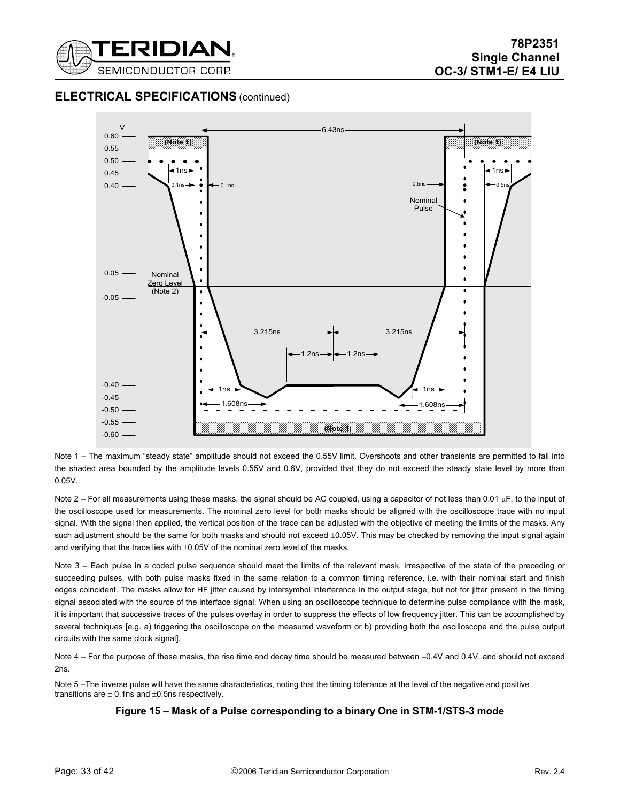



Note 1 – The maximum "steady state" amplitude should not exceed the 0.55V limit. Overshoots and other transients are permitted to fall into the shaded area bounded by the amplitude levels 0.55V and 0.6V, provided that they do not exceed the steady state level by more than 0.05V.

Note 2 – For all measurements using these masks, the signal should be AC coupled, using a capacitor of not less than 0.01 µF, to the input of the oscilloscope used for measurements. The nominal zero level for both masks should be aligned with the oscilloscope trace with no input signal. With the signal then applied, the vertical position of the trace can be adjusted with the objective of meeting the limits of the masks. Any such adjustment should be the same for both masks and should not exceed  $\pm 0.05V$ . This may be checked by removing the input signal again and verifying that the trace lies with  $\pm 0.05V$  of the nominal zero level of the masks.

Note 3 – Each pulse in a coded pulse sequence should meet the limits of the relevant mask, irrespective of the state of the preceding or succeeding pulses, with both pulse masks fixed in the same relation to a common timing reference, i.e. with their nominal start and finish edges coincident. The masks allow for HF jitter caused by intersymbol interference in the output stage, but not for jitter present in the timing signal associated with the source of the interface signal. When using an oscilloscope technique to determine pulse compliance with the mask, it is important that successive traces of the pulses overlay in order to suppress the effects of low frequency jitter. This can be accomplished by several techniques [e.g. a) triggering the oscilloscope on the measured waveform or b) providing both the oscilloscope and the pulse output circuits with the same clock signal].

Note 4 – For the purpose of these masks, the rise time and decay time should be measured between –0.4V and 0.4V, and should not exceed 2ns.

Note 5-The inverse pulse will have the same characteristics, noting that the timing tolerance at the level of the negative and positive transitions are  $\pm$  0.1ns and  $\pm$ 0.5ns respectively.

### **Figure 15 – Mask of a Pulse corresponding to a binary One in STM-1/STS-3 mode**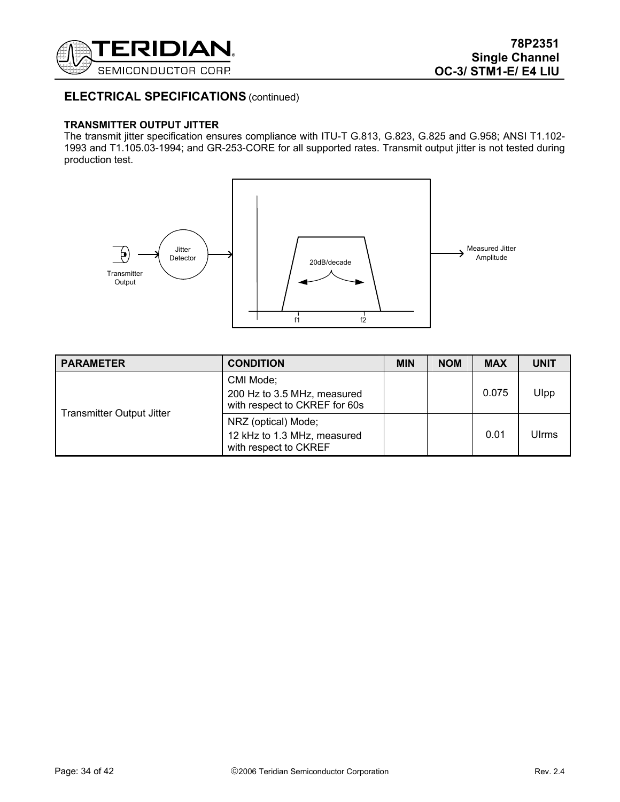

### **TRANSMITTER OUTPUT JITTER**

The transmit jitter specification ensures compliance with ITU-T G.813, G.823, G.825 and G.958; ANSI T1.102- 1993 and T1.105.03-1994; and GR-253-CORE for all supported rates. Transmit output jitter is not tested during production test.



| <b>PARAMETER</b>          | <b>CONDITION</b>                                                            | <b>MIN</b> | <b>NOM</b> | <b>MAX</b> | <b>UNIT</b> |
|---------------------------|-----------------------------------------------------------------------------|------------|------------|------------|-------------|
| Transmitter Output Jitter | CMI Mode;<br>200 Hz to 3.5 MHz, measured<br>with respect to CKREF for 60s   |            |            | 0.075      | Ulpp        |
|                           | NRZ (optical) Mode;<br>12 kHz to 1.3 MHz, measured<br>with respect to CKREF |            |            | 0.01       | Ulrms       |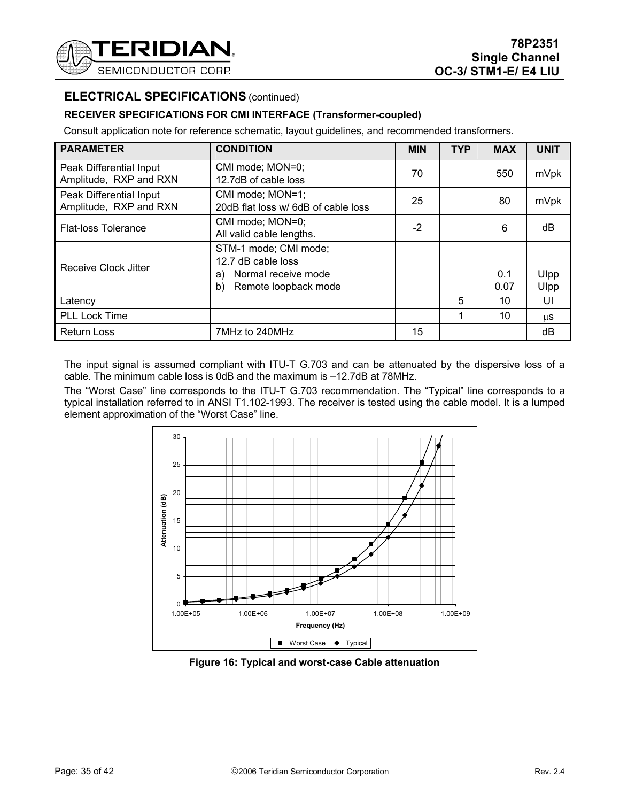

### **RECEIVER SPECIFICATIONS FOR CMI INTERFACE (Transformer-coupled)**

Consult application note for reference schematic, layout guidelines, and recommended transformers.

| <b>PARAMETER</b>                                  | <b>CONDITION</b>                                                                                       | <b>MIN</b> | <b>TYP</b> | <b>MAX</b>  | <b>UNIT</b>  |
|---------------------------------------------------|--------------------------------------------------------------------------------------------------------|------------|------------|-------------|--------------|
| Peak Differential Input<br>Amplitude, RXP and RXN | CMI mode; MON=0;<br>12.7dB of cable loss                                                               | 70         |            | 550         | mVpk         |
| Peak Differential Input<br>Amplitude, RXP and RXN | CMI mode; MON=1;<br>20dB flat loss w/ 6dB of cable loss                                                | 25         |            | 80          | mVpk         |
| <b>Flat-loss Tolerance</b>                        | CMI mode; MON=0;<br>All valid cable lengths.                                                           | $-2$       |            | 6           | dB           |
| Receive Clock Jitter                              | STM-1 mode; CMI mode;<br>12.7 dB cable loss<br>Normal receive mode<br>a)<br>Remote loopback mode<br>b) |            |            | 0.1<br>0.07 | Ulpp<br>Ulpp |
| Latency                                           |                                                                                                        |            | 5          | 10          | UI           |
| <b>PLL Lock Time</b>                              |                                                                                                        |            |            | 10          | μS           |
| <b>Return Loss</b>                                | 7MHz to 240MHz                                                                                         | 15         |            |             | dB           |

The input signal is assumed compliant with ITU-T G.703 and can be attenuated by the dispersive loss of a cable. The minimum cable loss is 0dB and the maximum is –12.7dB at 78MHz.

The "Worst Case" line corresponds to the ITU-T G.703 recommendation. The "Typical" line corresponds to a typical installation referred to in ANSI T1.102-1993. The receiver is tested using the cable model. It is a lumped element approximation of the "Worst Case" line.



**Figure 16: Typical and worst-case Cable attenuation**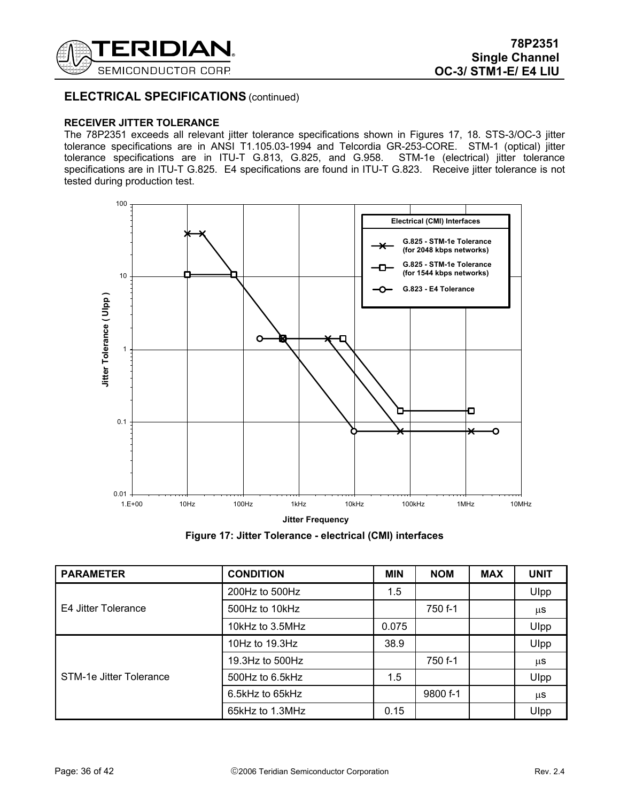

#### **RECEIVER JITTER TOLERANCE**

The 78P2351 exceeds all relevant jitter tolerance specifications shown in Figures 17, 18. STS-3/OC-3 jitter tolerance specifications are in ANSI T1.105.03-1994 and Telcordia GR-253-CORE. STM-1 (optical) jitter tolerance specifications are in ITU-T G.813, G.825, and G.958. STM-1e (electrical) jitter tolerance specifications are in ITU-T G.825. E4 specifications are found in ITU-T G.823. Receive jitter tolerance is not tested during production test.



**Figure 17: Jitter Tolerance - electrical (CMI) interfaces** 

| <b>PARAMETER</b>        | <b>CONDITION</b>  | <b>MIN</b> | <b>NOM</b> | <b>MAX</b> | <b>UNIT</b> |
|-------------------------|-------------------|------------|------------|------------|-------------|
| E4 Jitter Tolerance     | 200Hz to 500Hz    | 1.5        |            |            | Ulpp        |
|                         | 500Hz to 10kHz    |            | 750 f-1    |            | μS          |
|                         | 10kHz to 3.5MHz   | 0.075      |            |            | Ulpp        |
| STM-1e Jitter Tolerance | 10Hz to $19.3$ Hz | 38.9       |            |            | Ulpp        |
|                         | 19.3Hz to 500Hz   |            | 750 f-1    |            | μS          |
|                         | 500Hz to 6.5kHz   | 1.5        |            |            | Ulpp        |
|                         | 6.5kHz to 65kHz   |            | 9800 f-1   |            | μS          |
|                         | 65kHz to 1.3MHz   | 0.15       |            |            | Ulpp        |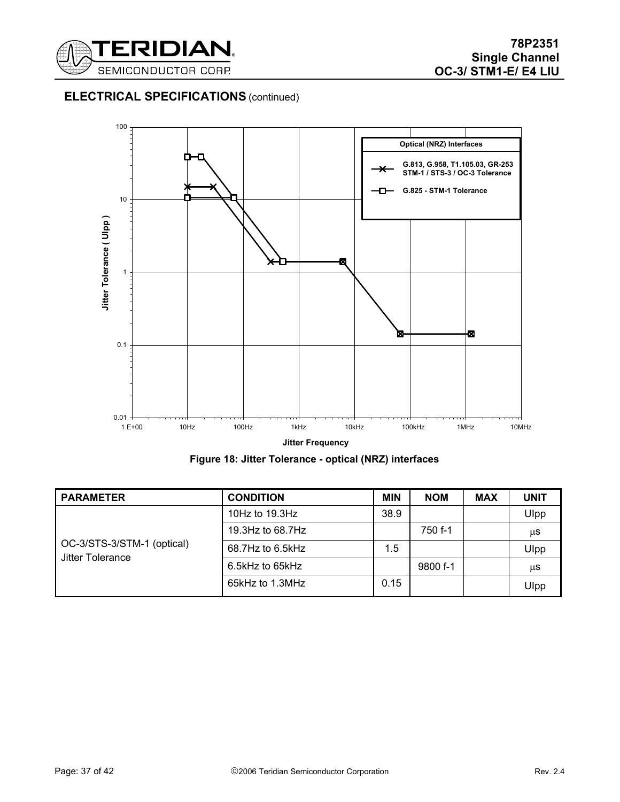



**Figure 18: Jitter Tolerance - optical (NRZ) interfaces** 

| <b>PARAMETER</b>                               | <b>CONDITION</b>  | <b>MIN</b> | <b>NOM</b> | <b>MAX</b> | <b>UNIT</b> |
|------------------------------------------------|-------------------|------------|------------|------------|-------------|
| OC-3/STS-3/STM-1 (optical)<br>Jitter Tolerance | 10Hz to $19.3$ Hz | 38.9       |            |            | Ulpp        |
|                                                | 19.3Hz to 68.7Hz  |            | 750 f-1    |            | μS          |
|                                                | 68.7Hz to 6.5kHz  | 1.5        |            |            | Ulpp        |
|                                                | 6.5kHz to 65kHz   |            | 9800 f-1   |            | μS          |
|                                                | 65kHz to 1.3MHz   | 0.15       |            |            | Ulpp        |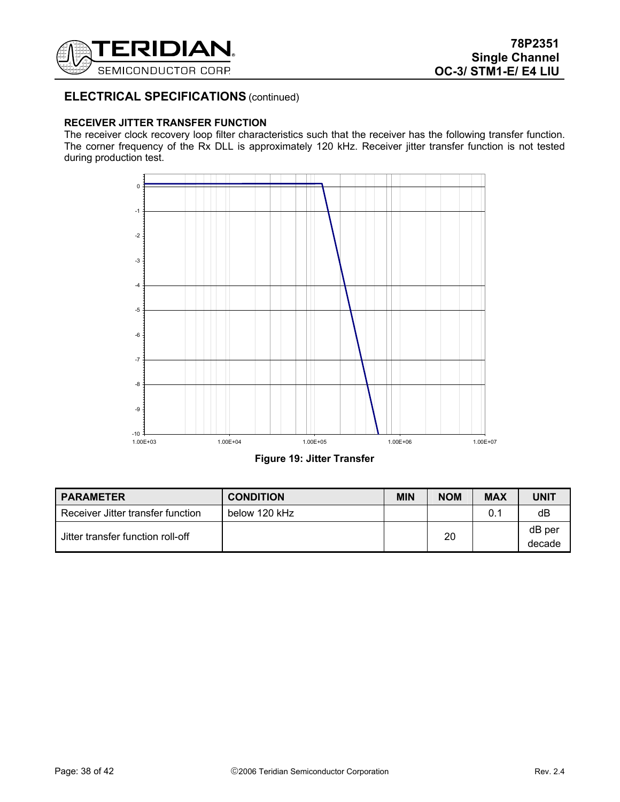

### **RECEIVER JITTER TRANSFER FUNCTION**

The receiver clock recovery loop filter characteristics such that the receiver has the following transfer function. The corner frequency of the Rx DLL is approximately 120 kHz. Receiver jitter transfer function is not tested during production test.



**Figure 19: Jitter Transfer** 

| <b>PARAMETER</b>                  | <b>CONDITION</b> | <b>MIN</b> | <b>NOM</b> | <b>MAX</b> | <b>UNIT</b>      |
|-----------------------------------|------------------|------------|------------|------------|------------------|
| Receiver Jitter transfer function | below 120 kHz    |            |            | 0.1        | dB               |
| Jitter transfer function roll-off |                  |            | 20         |            | dB per<br>decade |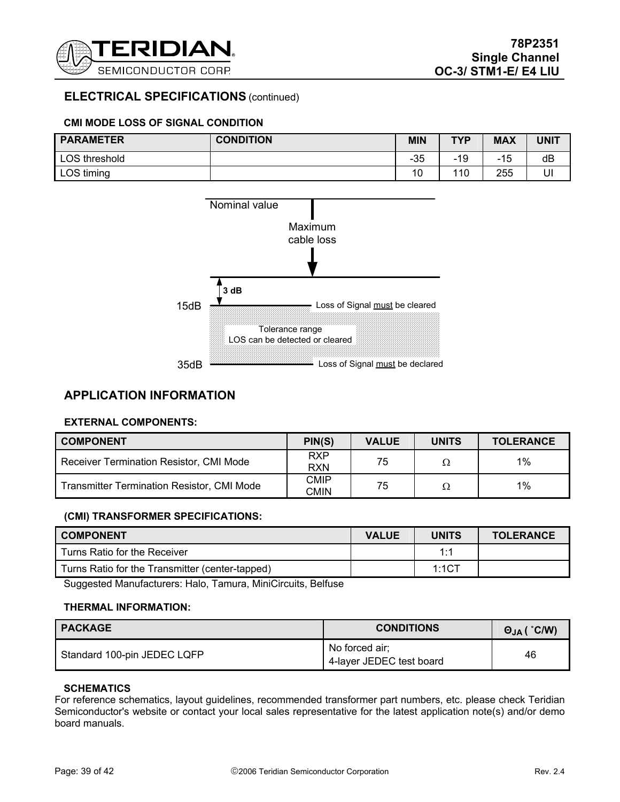

### **CMI MODE LOSS OF SIGNAL CONDITION**

| <b>PARAMETER</b> | <b>CONDITION</b> | <b>MIN</b> | <b>TYP</b> | <b>MAX</b> | <b>UNIT</b> |
|------------------|------------------|------------|------------|------------|-------------|
| LOS threshold    |                  | $-35$      | -19        | 15<br>-    | dB          |
| LOS timing       |                  | 10         | 110        | 255        | UI          |



### **APPLICATION INFORMATION**

#### **EXTERNAL COMPONENTS:**

| <b>COMPONENT</b>                                  | PIN(S)                   | <b>VALUE</b> | <b>UNITS</b> | <b>TOLERANCE</b> |
|---------------------------------------------------|--------------------------|--------------|--------------|------------------|
| Receiver Termination Resistor, CMI Mode           | <b>RXP</b><br><b>RXN</b> | 75           | Ω            | 1%               |
| <b>Transmitter Termination Resistor, CMI Mode</b> | CMIP<br>CMIN             | 75           | Ω            | $1\%$            |

#### **(CMI) TRANSFORMER SPECIFICATIONS:**

| <b>COMPONENT</b>                                | <b>VALUE</b> | <b>UNITS</b> | <b>TOLERANCE</b> |
|-------------------------------------------------|--------------|--------------|------------------|
| Turns Ratio for the Receiver                    |              | $1 - 1$      |                  |
| Turns Ratio for the Transmitter (center-tapped) |              | 1:1CT        |                  |

Suggested Manufacturers: Halo, Tamura, MiniCircuits, Belfuse

#### **THERMAL INFORMATION:**

| <b>PACKAGE</b>              | <b>CONDITIONS</b>                          | ( °C/W)<br>$\Theta_{JA}$ ( |
|-----------------------------|--------------------------------------------|----------------------------|
| Standard 100-pin JEDEC LQFP | No forced air;<br>4-layer JEDEC test board | 46                         |

#### **SCHEMATICS**

For reference schematics, layout guidelines, recommended transformer part numbers, etc. please check Teridian Semiconductor's website or contact your local sales representative for the latest application note(s) and/or demo board manuals.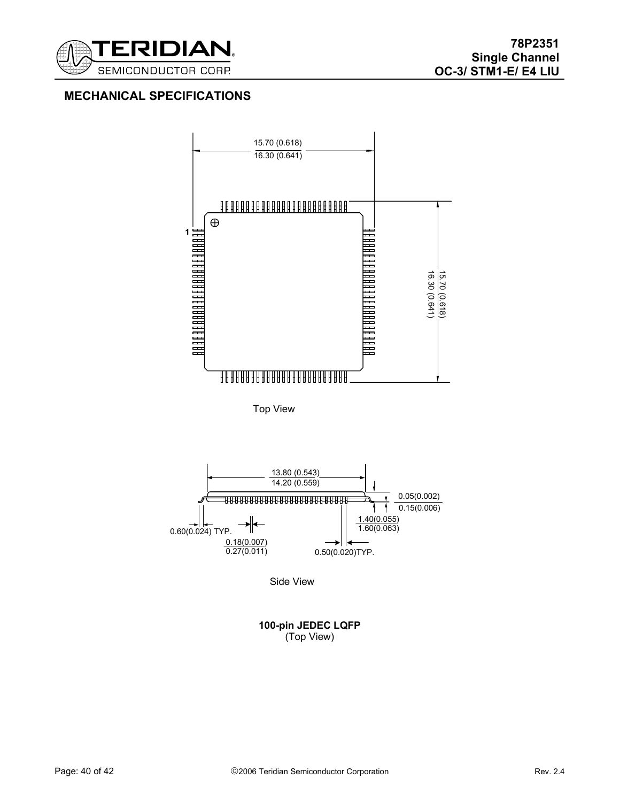

# **MECHANICAL SPECIFICATIONS**



Top View



Side View

**100-pin JEDEC LQFP**  (Top View)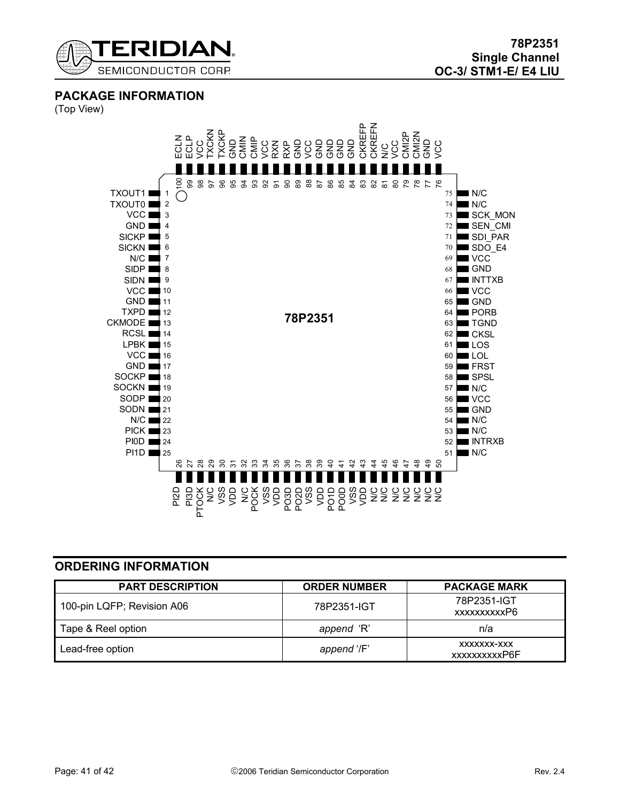

**PACKAGE INFORMATION** 

(Top View)



# **ORDERING INFORMATION**

| <b>PART DESCRIPTION</b>    | <b>ORDER NUMBER</b> | <b>PACKAGE MARK</b>          |
|----------------------------|---------------------|------------------------------|
| 100-pin LQFP; Revision A06 | 78P2351-IGT         | 78P2351-IGT<br>xxxxxxxxxxP6  |
| Tape & Reel option         | append 'R'          | n/a                          |
| Lead-free option           | append '/F'         | XXXXXXX-XXX<br>xxxxxxxxxxP6F |